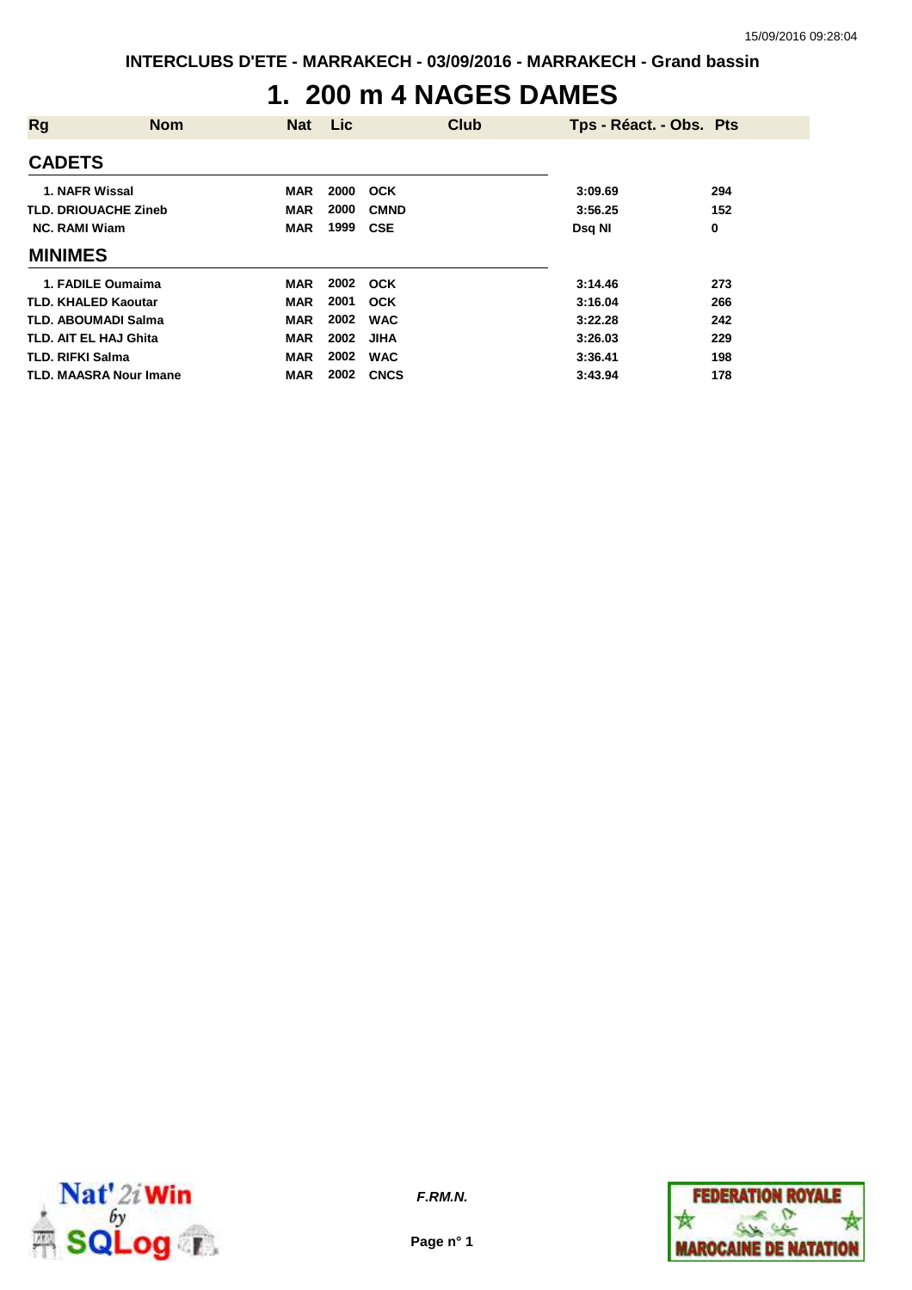### **1. 200 m 4 NAGES DAMES**

| <b>Rg</b>                     | <b>Nom</b> | <b>Nat</b> | Lic  | <b>Club</b> | Tps - Réact. - Obs. Pts |     |
|-------------------------------|------------|------------|------|-------------|-------------------------|-----|
| <b>CADETS</b>                 |            |            |      |             |                         |     |
| 1. NAFR Wissal                |            | MAR        | 2000 | <b>OCK</b>  | 3:09.69                 | 294 |
| <b>TLD. DRIOUACHE Zineb</b>   |            | <b>MAR</b> | 2000 | <b>CMND</b> | 3:56.25                 | 152 |
| <b>NC. RAMI Wiam</b>          |            | <b>MAR</b> | 1999 | <b>CSE</b>  | <b>Dsg NI</b>           | 0   |
| <b>MINIMES</b>                |            |            |      |             |                         |     |
| 1. FADILE Oumaima             |            | <b>MAR</b> | 2002 | <b>OCK</b>  | 3:14.46                 | 273 |
| <b>TLD. KHALED Kaoutar</b>    |            | <b>MAR</b> | 2001 | OCK         | 3:16.04                 | 266 |
| <b>TLD. ABOUMADI Salma</b>    |            | <b>MAR</b> | 2002 | <b>WAC</b>  | 3:22.28                 | 242 |
| TLD. AIT EL HAJ Ghita         |            | <b>MAR</b> | 2002 | <b>JIHA</b> | 3:26.03                 | 229 |
| <b>TLD. RIFKI Salma</b>       |            | <b>MAR</b> | 2002 | <b>WAC</b>  | 3:36.41                 | 198 |
| <b>TLD. MAASRA Nour Imane</b> |            | <b>MAR</b> | 2002 | <b>CNCS</b> | 3:43.94                 | 178 |



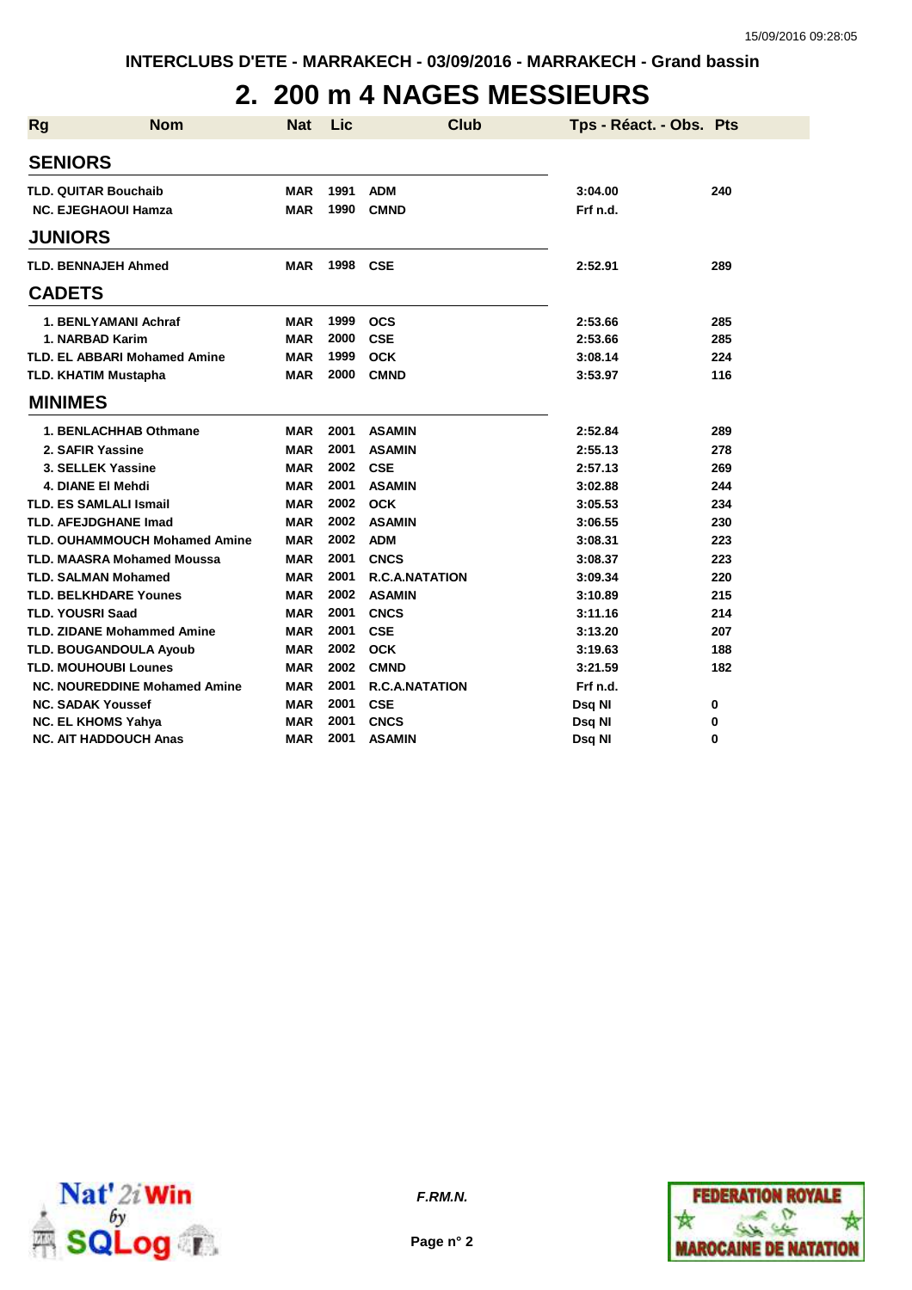### **2. 200 m 4 NAGES MESSIEURS**

| <b>Rg</b>               | <b>Nom</b>                           | <b>Nat</b> | Lic  | <b>Club</b>           | Tps - Réact. - Obs. Pts |     |
|-------------------------|--------------------------------------|------------|------|-----------------------|-------------------------|-----|
| <b>SENIORS</b>          |                                      |            |      |                       |                         |     |
|                         | <b>TLD. QUITAR Bouchaib</b>          | MAR        | 1991 | <b>ADM</b>            | 3:04.00                 | 240 |
|                         | <b>NC. EJEGHAOUI Hamza</b>           | <b>MAR</b> | 1990 | <b>CMND</b>           | Frf n.d.                |     |
| <b>JUNIORS</b>          |                                      |            |      |                       |                         |     |
|                         | <b>TLD. BENNAJEH Ahmed</b>           | <b>MAR</b> | 1998 | CSE                   | 2:52.91                 | 289 |
| <b>CADETS</b>           |                                      |            |      |                       |                         |     |
|                         | 1. BENLYAMANI Achraf                 | MAR        | 1999 | <b>OCS</b>            | 2:53.66                 | 285 |
|                         | 1. NARBAD Karim                      | <b>MAR</b> | 2000 | <b>CSE</b>            | 2:53.66                 | 285 |
|                         | <b>TLD. EL ABBARI Mohamed Amine</b>  | <b>MAR</b> | 1999 | <b>OCK</b>            | 3:08.14                 | 224 |
|                         | <b>TLD. KHATIM Mustapha</b>          | <b>MAR</b> | 2000 | <b>CMND</b>           | 3:53.97                 | 116 |
| <b>MINIMES</b>          |                                      |            |      |                       |                         |     |
|                         | 1. BENLACHHAB Othmane                | <b>MAR</b> | 2001 | <b>ASAMIN</b>         | 2:52.84                 | 289 |
|                         | 2. SAFIR Yassine                     | <b>MAR</b> | 2001 | <b>ASAMIN</b>         | 2:55.13                 | 278 |
|                         | 3. SELLEK Yassine                    | <b>MAR</b> | 2002 | <b>CSE</b>            | 2:57.13                 | 269 |
|                         | 4. DIANE EI Mehdi                    | <b>MAR</b> | 2001 | <b>ASAMIN</b>         | 3:02.88                 | 244 |
|                         | <b>TLD. ES SAMLALI Ismail</b>        | <b>MAR</b> | 2002 | <b>OCK</b>            | 3:05.53                 | 234 |
|                         | <b>TLD. AFEJDGHANE Imad</b>          | <b>MAR</b> | 2002 | <b>ASAMIN</b>         | 3:06.55                 | 230 |
|                         | <b>TLD. OUHAMMOUCH Mohamed Amine</b> | <b>MAR</b> | 2002 | <b>ADM</b>            | 3:08.31                 | 223 |
|                         | <b>TLD. MAASRA Mohamed Moussa</b>    | <b>MAR</b> | 2001 | <b>CNCS</b>           | 3:08.37                 | 223 |
|                         | <b>TLD. SALMAN Mohamed</b>           | <b>MAR</b> | 2001 | <b>R.C.A.NATATION</b> | 3:09.34                 | 220 |
|                         | <b>TLD. BELKHDARE Younes</b>         | <b>MAR</b> | 2002 | <b>ASAMIN</b>         | 3:10.89                 | 215 |
| <b>TLD. YOUSRI Saad</b> |                                      | <b>MAR</b> | 2001 | <b>CNCS</b>           | 3:11.16                 | 214 |
|                         | <b>TLD. ZIDANE Mohammed Amine</b>    | <b>MAR</b> | 2001 | <b>CSE</b>            | 3:13.20                 | 207 |
|                         | <b>TLD. BOUGANDOULA Ayoub</b>        | <b>MAR</b> | 2002 | <b>OCK</b>            | 3:19.63                 | 188 |
|                         | <b>TLD. MOUHOUBI Lounes</b>          | <b>MAR</b> | 2002 | <b>CMND</b>           | 3:21.59                 | 182 |
|                         | <b>NC. NOUREDDINE Mohamed Amine</b>  | <b>MAR</b> | 2001 | <b>R.C.A.NATATION</b> | Frf n.d.                |     |
|                         | <b>NC. SADAK Youssef</b>             | <b>MAR</b> | 2001 | <b>CSE</b>            | Dsq NI                  | 0   |
|                         | <b>NC. EL KHOMS Yahya</b>            | <b>MAR</b> | 2001 | <b>CNCS</b>           | Dsq NI                  | 0   |
|                         | <b>NC. AIT HADDOUCH Anas</b>         | <b>MAR</b> | 2001 | <b>ASAMIN</b>         | Dsq NI                  | 0   |





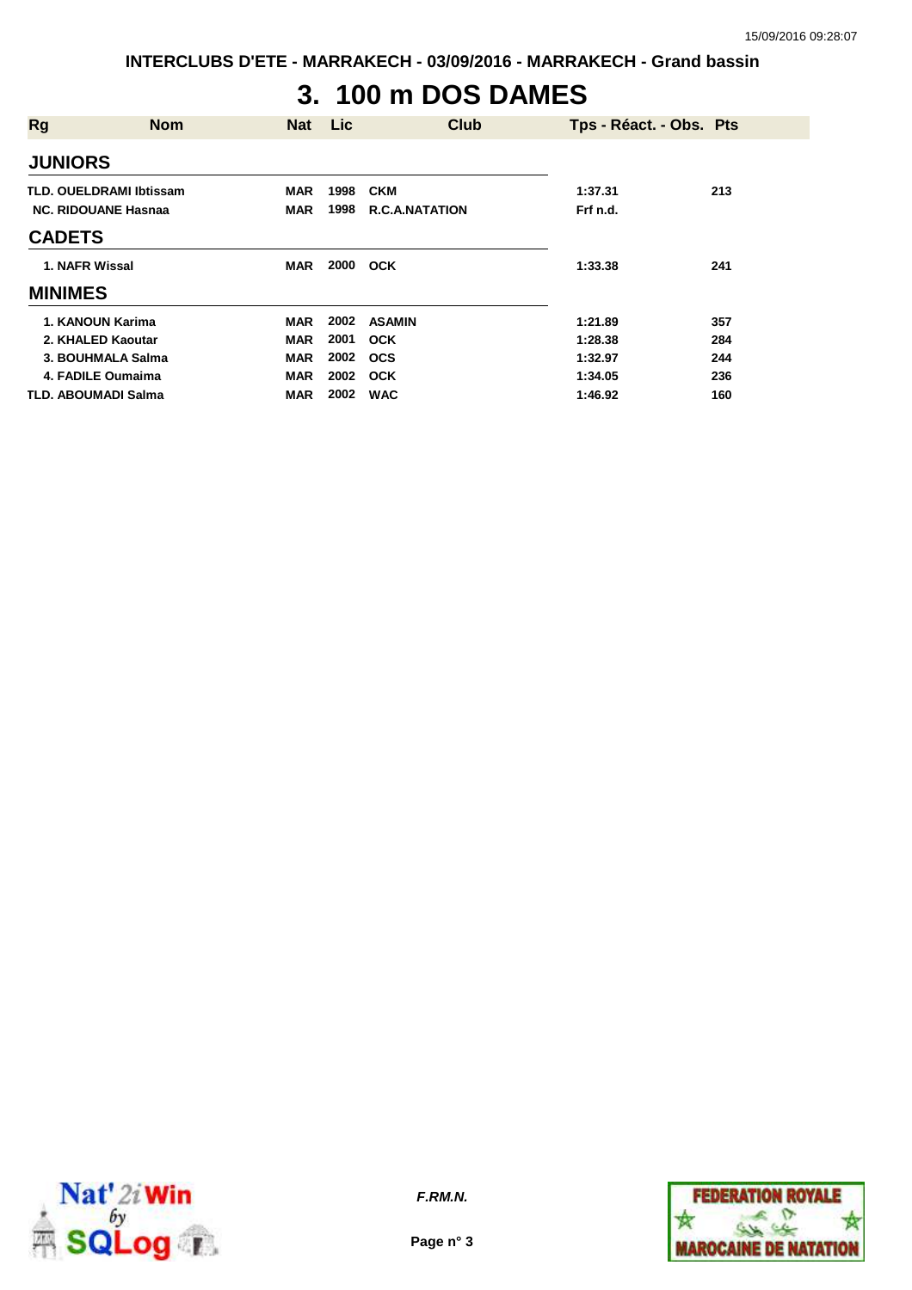**INTERCLUBS D'ETE - MARRAKECH - 03/09/2016 - MARRAKECH - Grand bassin**

# **3. 100 m DOS DAMES**

| <b>Rg</b>      | <b>Nom</b>                     | <b>Nat</b> | Lic  | <b>Club</b>           | Tps - Réact. - Obs. Pts |     |
|----------------|--------------------------------|------------|------|-----------------------|-------------------------|-----|
| <b>JUNIORS</b> |                                |            |      |                       |                         |     |
|                | <b>TLD. OUELDRAMI Ibtissam</b> | <b>MAR</b> | 1998 | <b>CKM</b>            | 1:37.31                 | 213 |
|                | <b>NC. RIDOUANE Hasnaa</b>     | <b>MAR</b> | 1998 | <b>R.C.A.NATATION</b> | Frf n.d.                |     |
| <b>CADETS</b>  |                                |            |      |                       |                         |     |
| 1. NAFR Wissal |                                | <b>MAR</b> | 2000 | <b>OCK</b>            | 1:33.38                 | 241 |
| <b>MINIMES</b> |                                |            |      |                       |                         |     |
|                | 1. KANOUN Karima               | <b>MAR</b> | 2002 | <b>ASAMIN</b>         | 1:21.89                 | 357 |
|                | 2. KHALED Kaoutar              | <b>MAR</b> | 2001 | <b>OCK</b>            | 1:28.38                 | 284 |
|                | 3. BOUHMALA Salma              | <b>MAR</b> | 2002 | <b>OCS</b>            | 1:32.97                 | 244 |
|                | 4. FADILE Oumaima              | <b>MAR</b> | 2002 | <b>OCK</b>            | 1:34.05                 | 236 |
|                | <b>TLD. ABOUMADI Salma</b>     | <b>MAR</b> | 2002 | <b>WAC</b>            | 1:46.92                 | 160 |



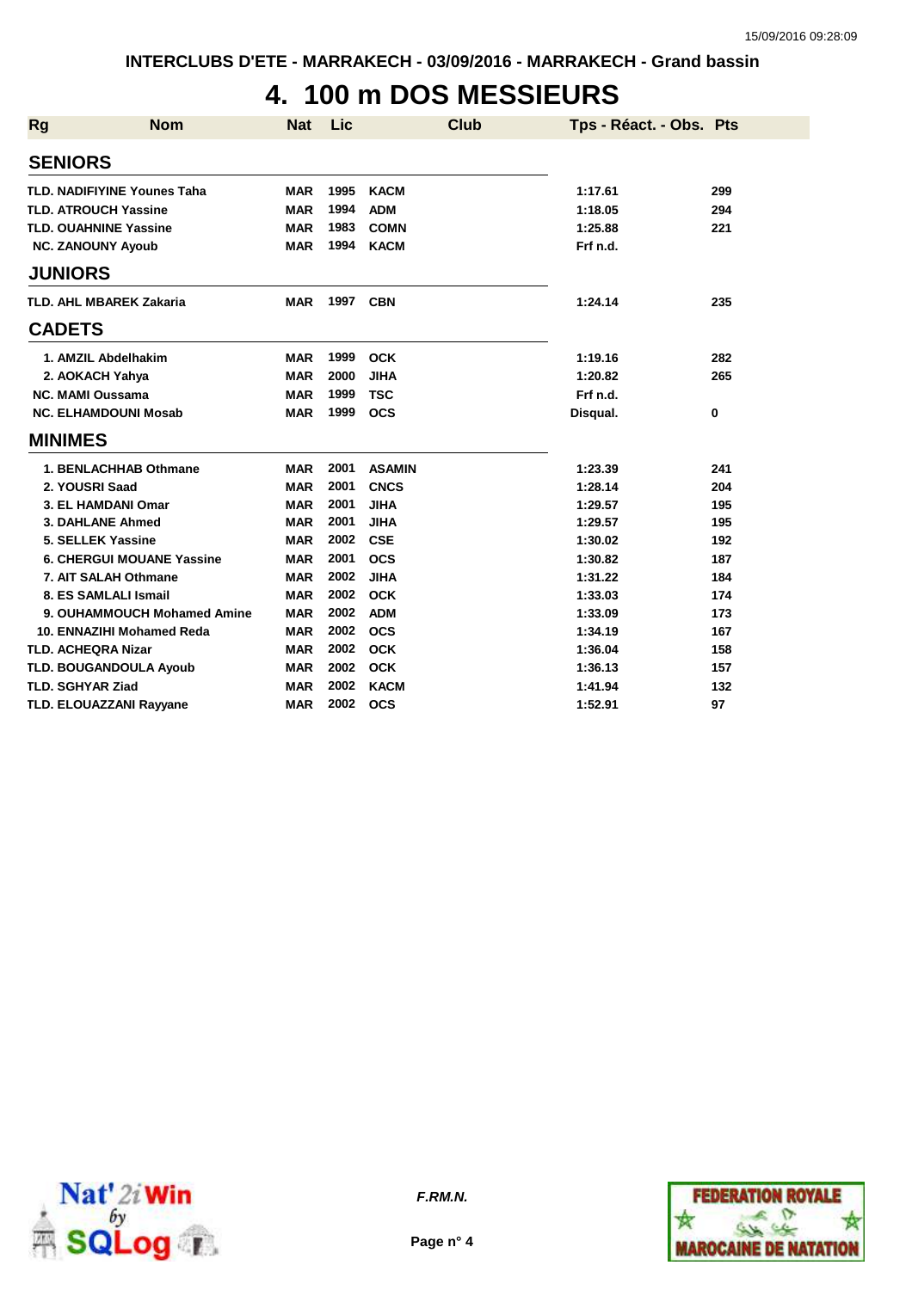# **4. 100 m DOS MESSIEURS**

| Rg            | <b>Nom</b>                         | <b>Nat</b> | Lic      | <b>Club</b>   | Tps - Réact. - Obs. Pts |     |
|---------------|------------------------------------|------------|----------|---------------|-------------------------|-----|
|               | <b>SENIORS</b>                     |            |          |               |                         |     |
|               | <b>TLD. NADIFIYINE Younes Taha</b> | <b>MAR</b> | 1995     | <b>KACM</b>   | 1:17.61                 | 299 |
|               | <b>TLD. ATROUCH Yassine</b>        | <b>MAR</b> | 1994     | <b>ADM</b>    | 1:18.05                 | 294 |
|               | <b>TLD. OUAHNINE Yassine</b>       | <b>MAR</b> | 1983     | <b>COMN</b>   | 1:25.88                 | 221 |
|               | <b>NC. ZANOUNY Ayoub</b>           | <b>MAR</b> | 1994     | <b>KACM</b>   | Frf n.d.                |     |
|               | <b>JUNIORS</b>                     |            |          |               |                         |     |
|               | <b>TLD. AHL MBAREK Zakaria</b>     | <b>MAR</b> | 1997 CBN |               | 1:24.14                 | 235 |
| <b>CADETS</b> |                                    |            |          |               |                         |     |
|               | 1. AMZIL Abdelhakim                | <b>MAR</b> | 1999     | <b>OCK</b>    | 1:19.16                 | 282 |
|               | 2. AOKACH Yahya                    | <b>MAR</b> | 2000     | <b>JIHA</b>   | 1:20.82                 | 265 |
|               | <b>NC. MAMI Oussama</b>            | <b>MAR</b> | 1999     | <b>TSC</b>    | Frf n.d.                |     |
|               | <b>NC. ELHAMDOUNI Mosab</b>        | <b>MAR</b> | 1999     | <b>OCS</b>    | Disqual.                | 0   |
|               | <b>MINIMES</b>                     |            |          |               |                         |     |
|               | 1. BENLACHHAB Othmane              | MAR        | 2001     | <b>ASAMIN</b> | 1:23.39                 | 241 |
|               | 2. YOUSRI Saad                     | <b>MAR</b> | 2001     | <b>CNCS</b>   | 1:28.14                 | 204 |
|               | 3. EL HAMDANI Omar                 | <b>MAR</b> | 2001     | <b>JIHA</b>   | 1:29.57                 | 195 |
|               | 3. DAHLANE Ahmed                   | <b>MAR</b> | 2001     | <b>JIHA</b>   | 1:29.57                 | 195 |
|               | 5. SELLEK Yassine                  | <b>MAR</b> | 2002     | <b>CSE</b>    | 1:30.02                 | 192 |
|               | <b>6. CHERGUI MOUANE Yassine</b>   | <b>MAR</b> | 2001     | <b>OCS</b>    | 1:30.82                 | 187 |
|               | 7. AIT SALAH Othmane               | <b>MAR</b> | 2002     | <b>JIHA</b>   | 1:31.22                 | 184 |
|               | 8. ES SAMLALI Ismail               | <b>MAR</b> | 2002     | <b>OCK</b>    | 1:33.03                 | 174 |
|               | 9. OUHAMMOUCH Mohamed Amine        | <b>MAR</b> | 2002     | <b>ADM</b>    | 1:33.09                 | 173 |
|               | 10. ENNAZIHI Mohamed Reda          | <b>MAR</b> | 2002     | <b>OCS</b>    | 1:34.19                 | 167 |
|               | <b>TLD. ACHEQRA Nizar</b>          | <b>MAR</b> | 2002     | <b>OCK</b>    | 1:36.04                 | 158 |
|               | TLD. BOUGANDOULA Ayoub             | <b>MAR</b> | 2002     | <b>OCK</b>    | 1:36.13                 | 157 |
|               | <b>TLD. SGHYAR Ziad</b>            | <b>MAR</b> | 2002     | <b>KACM</b>   | 1:41.94                 | 132 |
|               | <b>TLD. ELOUAZZANI Rayyane</b>     | <b>MAR</b> | 2002     | <b>OCS</b>    | 1:52.91                 | 97  |



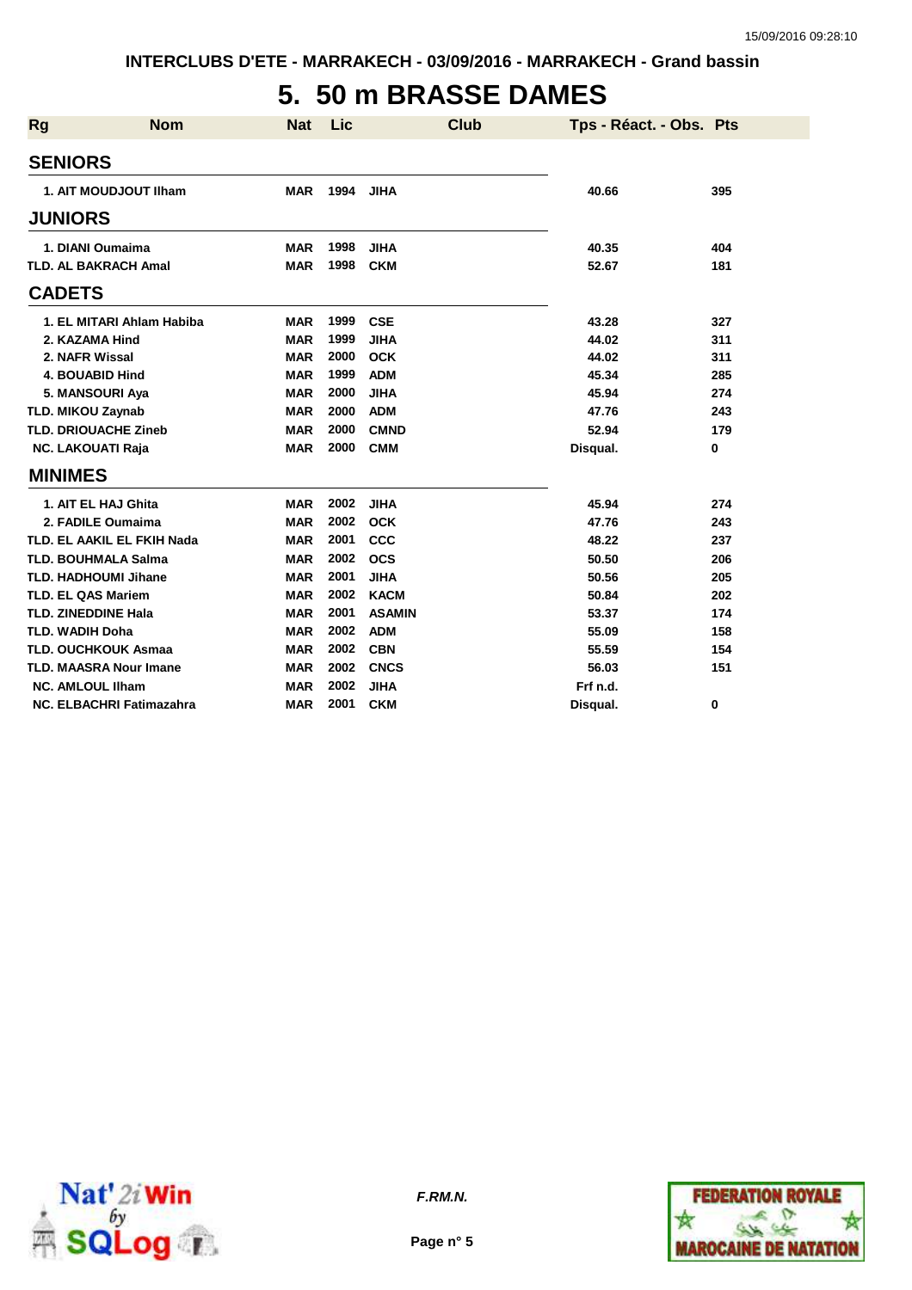## **5. 50 m BRASSE DAMES**

| <b>Rg</b>              | <b>Nom</b>                      | <b>Nat</b> | Lic  | <b>Club</b>   | Tps - Réact. - Obs. Pts |     |
|------------------------|---------------------------------|------------|------|---------------|-------------------------|-----|
| <b>SENIORS</b>         |                                 |            |      |               |                         |     |
|                        | 1. AIT MOUDJOUT IIham           | <b>MAR</b> | 1994 | <b>JIHA</b>   | 40.66                   | 395 |
| <b>JUNIORS</b>         |                                 |            |      |               |                         |     |
|                        | 1. DIANI Oumaima                | <b>MAR</b> | 1998 | <b>JIHA</b>   | 40.35                   | 404 |
|                        | <b>TLD. AL BAKRACH Amal</b>     | <b>MAR</b> | 1998 | <b>CKM</b>    | 52.67                   | 181 |
| <b>CADETS</b>          |                                 |            |      |               |                         |     |
|                        | 1. EL MITARI Ahlam Habiba       | <b>MAR</b> | 1999 | <b>CSE</b>    | 43.28                   | 327 |
|                        | 2. KAZAMA Hind                  | <b>MAR</b> | 1999 | <b>JIHA</b>   | 44.02                   | 311 |
|                        | 2. NAFR Wissal                  | <b>MAR</b> | 2000 | <b>OCK</b>    | 44.02                   | 311 |
|                        | <b>4. BOUABID Hind</b>          | <b>MAR</b> | 1999 | <b>ADM</b>    | 45.34                   | 285 |
|                        | 5. MANSOURI Aya                 | <b>MAR</b> | 2000 | <b>JIHA</b>   | 45.94                   | 274 |
|                        | <b>TLD. MIKOU Zaynab</b>        | <b>MAR</b> | 2000 | <b>ADM</b>    | 47.76                   | 243 |
|                        | <b>TLD. DRIOUACHE Zineb</b>     | <b>MAR</b> | 2000 | <b>CMND</b>   | 52.94                   | 179 |
|                        | <b>NC. LAKOUATI Raja</b>        | <b>MAR</b> | 2000 | <b>CMM</b>    | Disqual.                | 0   |
| <b>MINIMES</b>         |                                 |            |      |               |                         |     |
|                        | 1. AIT EL HAJ Ghita             | <b>MAR</b> | 2002 | <b>JIHA</b>   | 45.94                   | 274 |
|                        | 2. FADILE Oumaima               | <b>MAR</b> | 2002 | <b>OCK</b>    | 47.76                   | 243 |
|                        | TLD. EL AAKIL EL FKIH Nada      | <b>MAR</b> | 2001 | <b>CCC</b>    | 48.22                   | 237 |
|                        | <b>TLD. BOUHMALA Salma</b>      | <b>MAR</b> | 2002 | <b>OCS</b>    | 50.50                   | 206 |
|                        | <b>TLD. HADHOUMI Jihane</b>     | <b>MAR</b> | 2001 | <b>JIHA</b>   | 50.56                   | 205 |
|                        | <b>TLD. EL QAS Mariem</b>       | <b>MAR</b> | 2002 | <b>KACM</b>   | 50.84                   | 202 |
|                        | <b>TLD. ZINEDDINE Hala</b>      | <b>MAR</b> | 2001 | <b>ASAMIN</b> | 53.37                   | 174 |
| <b>TLD. WADIH Doha</b> |                                 | <b>MAR</b> | 2002 | <b>ADM</b>    | 55.09                   | 158 |
|                        | <b>TLD. OUCHKOUK Asmaa</b>      | <b>MAR</b> | 2002 | <b>CBN</b>    | 55.59                   | 154 |
|                        | <b>TLD. MAASRA Nour Imane</b>   | <b>MAR</b> | 2002 | <b>CNCS</b>   | 56.03                   | 151 |
|                        | <b>NC. AMLOUL IIham</b>         | <b>MAR</b> | 2002 | <b>JIHA</b>   | Frf n.d.                |     |
|                        | <b>NC. ELBACHRI Fatimazahra</b> | <b>MAR</b> | 2001 | <b>CKM</b>    | Disqual.                | 0   |



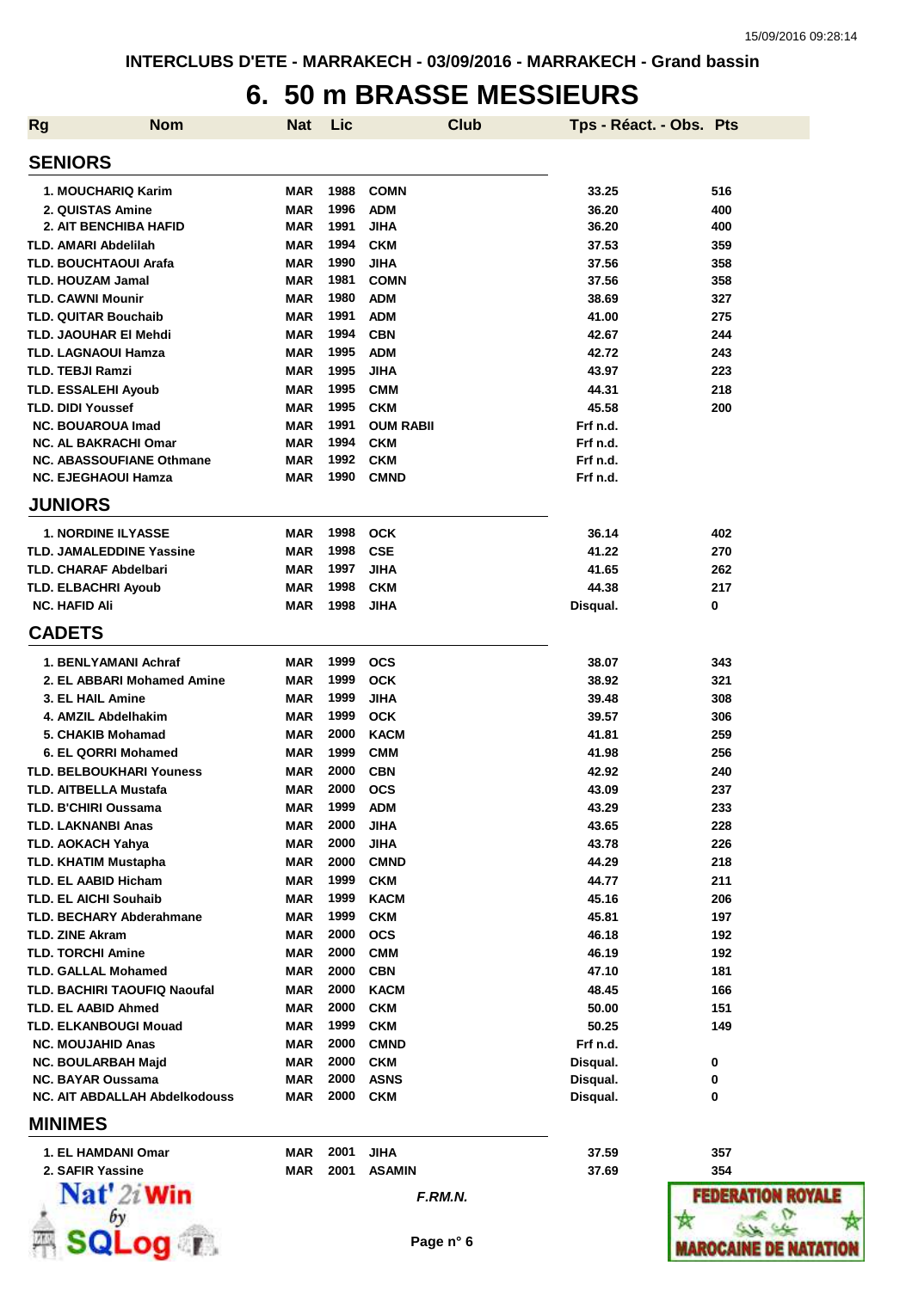#### **6. 50 m BRASSE MESSIEURS**

| <b>Rg</b> | <b>Nom</b>                                                      | Nat               | Lic          |                          | <b>Club</b> | Tps - Réact. - Obs. Pts |                     |
|-----------|-----------------------------------------------------------------|-------------------|--------------|--------------------------|-------------|-------------------------|---------------------|
|           | <b>SENIORS</b>                                                  |                   |              |                          |             |                         |                     |
|           | 1. MOUCHARIQ Karim                                              | MAR               | 1988         | <b>COMN</b>              |             | 33.25                   | 516                 |
|           | 2. QUISTAS Amine                                                | MAR               | 1996         | <b>ADM</b>               |             | 36.20                   | 400                 |
|           | <b>2. AIT BENCHIBA HAFID</b>                                    | <b>MAR</b>        | 1991         | <b>JIHA</b>              |             | 36.20                   | 400                 |
|           | <b>TLD. AMARI Abdelilah</b>                                     | <b>MAR</b>        | 1994         | <b>CKM</b>               |             | 37.53                   | 359                 |
|           | <b>TLD. BOUCHTAOUI Arafa</b>                                    | <b>MAR</b>        | 1990         | <b>JIHA</b>              |             | 37.56                   | 358                 |
|           | <b>TLD. HOUZAM Jamal</b>                                        | <b>MAR</b>        | 1981         | <b>COMN</b>              |             | 37.56                   | 358                 |
|           | <b>TLD. CAWNI Mounir</b>                                        | <b>MAR</b>        | 1980         | <b>ADM</b>               |             | 38.69                   | 327                 |
|           | <b>TLD. QUITAR Bouchaib</b>                                     | <b>MAR</b>        | 1991         | <b>ADM</b>               |             | 41.00                   | 275                 |
|           | TLD. JAOUHAR EI Mehdi                                           | <b>MAR</b>        | 1994         | <b>CBN</b>               |             | 42.67                   | 244                 |
|           | <b>TLD. LAGNAOUI Hamza</b>                                      | <b>MAR</b>        | 1995         | <b>ADM</b>               |             | 42.72                   | 243                 |
|           | <b>TLD. TEBJI Ramzi</b>                                         | <b>MAR</b>        | 1995         | <b>JIHA</b>              |             | 43.97                   | 223                 |
|           | <b>TLD. ESSALEHI Ayoub</b>                                      | <b>MAR</b>        | 1995         | <b>CMM</b>               |             | 44.31                   | 218                 |
|           | TLD. DIDI Youssef                                               | <b>MAR</b>        | 1995         | <b>CKM</b>               |             | 45.58                   | 200                 |
|           | <b>NC. BOUAROUA Imad</b>                                        | <b>MAR</b>        | 1991         | <b>OUM RABII</b>         |             | Frf n.d.                |                     |
|           | <b>NC. AL BAKRACHI Omar</b>                                     | <b>MAR</b>        | 1994         | <b>CKM</b>               |             | Frf n.d.                |                     |
|           | <b>NC. ABASSOUFIANE Othmane</b>                                 | MAR               | 1992         | <b>CKM</b>               |             | Frf n.d.                |                     |
|           | <b>NC. EJEGHAOUI Hamza</b>                                      | <b>MAR</b>        | 1990         | <b>CMND</b>              |             | Frf n.d.                |                     |
|           | <b>JUNIORS</b>                                                  |                   |              |                          |             |                         |                     |
|           | <b>1. NORDINE ILYASSE</b>                                       | <b>MAR</b>        | 1998         | <b>OCK</b>               |             | 36.14                   | 402                 |
|           | <b>TLD. JAMALEDDINE Yassine</b>                                 | MAR               | 1998         | <b>CSE</b>               |             | 41.22                   | 270                 |
|           | <b>TLD. CHARAF Abdelbari</b>                                    | MAR               | 1997         | <b>JIHA</b>              |             | 41.65                   | 262                 |
|           | <b>TLD. ELBACHRI Ayoub</b>                                      | MAR               | 1998         | <b>CKM</b>               |             | 44.38                   | 217                 |
|           | <b>NC. HAFID Ali</b>                                            | <b>MAR</b>        | 1998         | <b>JIHA</b>              |             | Disqual.                | 0                   |
|           | <b>CADETS</b>                                                   |                   |              |                          |             |                         |                     |
|           | 1. BENLYAMANI Achraf                                            | MAR               | 1999         | <b>OCS</b>               |             | 38.07                   | 343                 |
|           | 2. EL ABBARI Mohamed Amine                                      | MAR               | 1999         | <b>OCK</b>               |             | 38.92                   | 321                 |
|           | 3. EL HAIL Amine                                                | MAR               | 1999         | <b>JIHA</b>              |             | 39.48                   | 308                 |
|           | 4. AMZIL Abdelhakim                                             | <b>MAR</b>        | 1999         | <b>OCK</b>               |             | 39.57                   | 306                 |
|           | 5. CHAKIB Mohamad                                               | MAR               | 2000         | <b>KACM</b>              |             | 41.81                   | 259                 |
|           | 6. EL QORRI Mohamed                                             | MAR               | 1999         | <b>CMM</b>               |             | 41.98                   | 256                 |
|           | <b>TLD. BELBOUKHARI Youness</b><br><b>TLD. AITBELLA Mustafa</b> | MAR<br>MAR        | 2000<br>2000 | <b>CBN</b><br><b>OCS</b> |             | 42.92<br>43.09          | 240<br>237          |
|           | <b>TLD. B'CHIRI Oussama</b>                                     |                   | 1999         | <b>ADM</b>               |             |                         |                     |
|           | <b>TLD. LAKNANBI Anas</b>                                       | MAR<br><b>MAR</b> | 2000         | <b>JIHA</b>              |             | 43.29<br>43.65          | 233<br>228          |
|           | <b>TLD. AOKACH Yahya</b>                                        | <b>MAR</b>        | 2000         | <b>JIHA</b>              |             | 43.78                   | 226                 |
|           | <b>TLD. KHATIM Mustapha</b>                                     | MAR               | 2000         | <b>CMND</b>              |             | 44.29                   | 218                 |
|           | TLD. EL AABID Hicham                                            | MAR               | 1999         | <b>CKM</b>               |             | 44.77                   | 211                 |
|           | <b>TLD. EL AICHI Souhaib</b>                                    | MAR               | 1999         | <b>KACM</b>              |             | 45.16                   | 206                 |
|           | <b>TLD. BECHARY Abderahmane</b>                                 | MAR               | 1999         | <b>CKM</b>               |             | 45.81                   | 197                 |
|           | <b>TLD. ZINE Akram</b>                                          | <b>MAR</b>        | 2000         | <b>OCS</b>               |             | 46.18                   | 192                 |
|           | <b>TLD. TORCHI Amine</b>                                        | <b>MAR</b>        | 2000         | <b>CMM</b>               |             | 46.19                   | 192                 |
|           | <b>TLD. GALLAL Mohamed</b>                                      | <b>MAR</b>        | 2000         | <b>CBN</b>               |             | 47.10                   | 181                 |
|           | TLD. BACHIRI TAOUFIQ Naoufal                                    | <b>MAR</b>        | 2000         | <b>KACM</b>              |             | 48.45                   | 166                 |
|           | TLD. EL AABID Ahmed                                             | <b>MAR</b>        | 2000         | <b>CKM</b>               |             | 50.00                   | 151                 |
|           | <b>TLD. ELKANBOUGI Mouad</b>                                    | <b>MAR</b>        | 1999         | <b>CKM</b>               |             | 50.25                   | 149                 |
|           | <b>NC. MOUJAHID Anas</b>                                        | <b>MAR</b>        | 2000         | <b>CMND</b>              |             | Frf n.d.                |                     |
|           | <b>NC. BOULARBAH Majd</b>                                       | <b>MAR</b>        | 2000         | <b>CKM</b>               |             | Disqual.                | 0                   |
|           | <b>NC. BAYAR Oussama</b>                                        | <b>MAR</b>        | 2000         | <b>ASNS</b>              |             | Disqual.                | 0                   |
|           | <b>NC. AIT ABDALLAH Abdelkodouss</b>                            | MAR               | 2000         | <b>CKM</b>               |             | Disqual.                | 0                   |
|           | <b>MINIMES</b>                                                  |                   |              |                          |             |                         |                     |
|           | 1. EL HAMDANI Omar                                              | <b>MAR</b>        | 2001         | <b>JIHA</b>              |             | 37.59                   | 357                 |
|           | 2. SAFIR Yassine                                                | <b>MAR</b>        | 2001         | <b>ASAMIN</b>            |             | 37.69                   | 354                 |
|           | $\mathbf{Nat}'$ 2i Win                                          |                   |              |                          | F.RM.N.     |                         | <b>FEDERATION R</b> |



 $\frac{1}{\sqrt{2}}\frac{1}{\sqrt{2}}\frac{1}{\sqrt{2}}\frac{1}{\sqrt{2}}\frac{1}{\sqrt{2}}\frac{1}{\sqrt{2}}\frac{1}{\sqrt{2}}\frac{1}{\sqrt{2}}\frac{1}{\sqrt{2}}\frac{1}{\sqrt{2}}\frac{1}{\sqrt{2}}\frac{1}{\sqrt{2}}\frac{1}{\sqrt{2}}\frac{1}{\sqrt{2}}\frac{1}{\sqrt{2}}\frac{1}{\sqrt{2}}\frac{1}{\sqrt{2}}\frac{1}{\sqrt{2}}\frac{1}{\sqrt{2}}\frac{1}{\sqrt{2}}\frac{1}{\sqrt{2}}\frac{1}{\sqrt{2}}$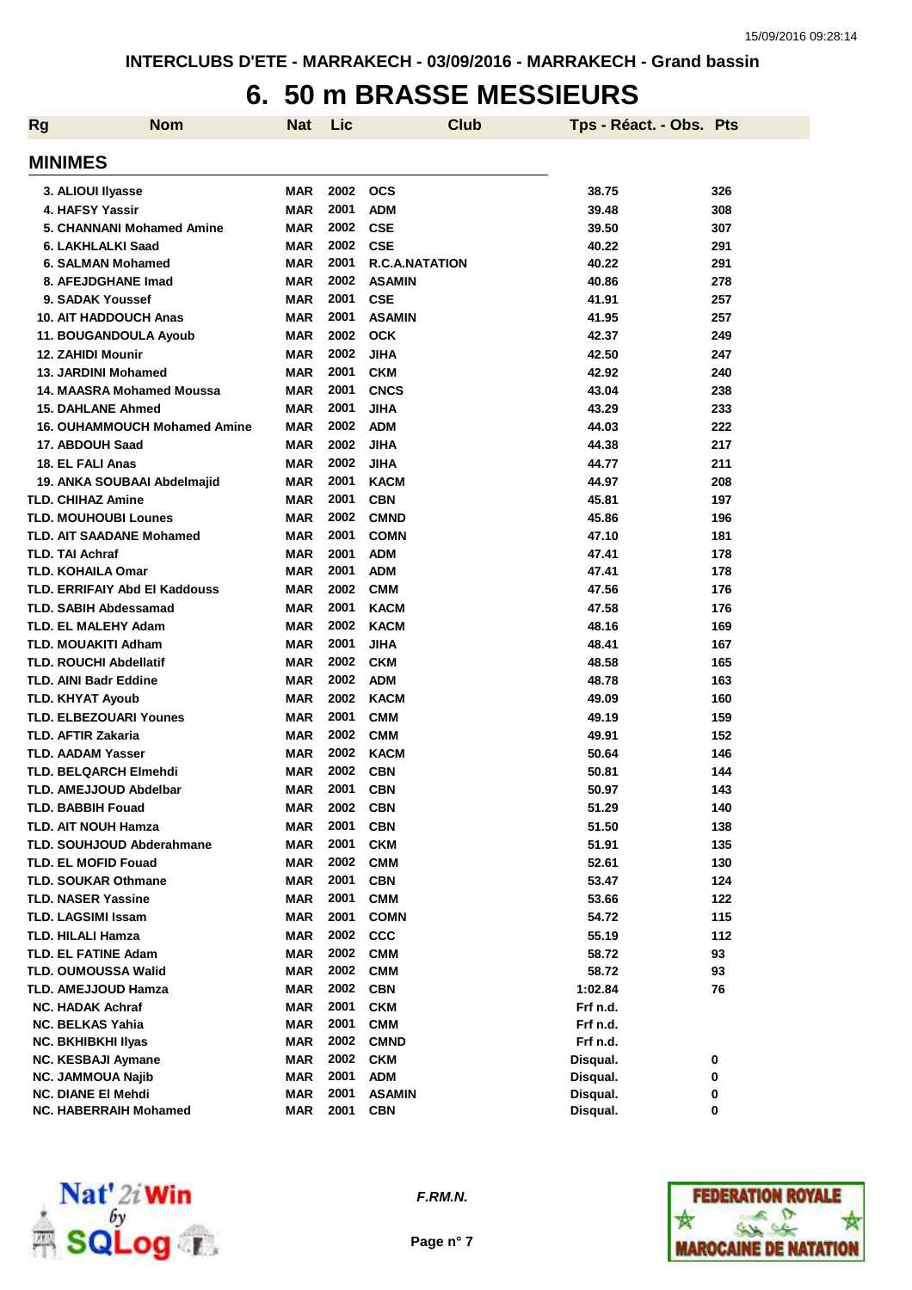#### **6. 50 m BRASSE MESSIEURS**

| <b>Rg</b> | <b>Nom</b>                           | <b>Nat</b> | Lic  | <b>Club</b>           | Tps - Réact. - Obs. Pts |     |
|-----------|--------------------------------------|------------|------|-----------------------|-------------------------|-----|
|           | <b>MINIMES</b>                       |            |      |                       |                         |     |
|           | 3. ALIOUI Ilyasse                    | <b>MAR</b> | 2002 | <b>OCS</b>            | 38.75                   | 326 |
|           | 4. HAFSY Yassir                      | <b>MAR</b> | 2001 | <b>ADM</b>            | 39.48                   | 308 |
|           | <b>5. CHANNANI Mohamed Amine</b>     | <b>MAR</b> | 2002 | <b>CSE</b>            | 39.50                   | 307 |
|           | 6. LAKHLALKI Saad                    | <b>MAR</b> | 2002 | <b>CSE</b>            | 40.22                   | 291 |
|           | 6. SALMAN Mohamed                    | <b>MAR</b> | 2001 | <b>R.C.A.NATATION</b> | 40.22                   | 291 |
|           | 8. AFEJDGHANE Imad                   | <b>MAR</b> | 2002 | <b>ASAMIN</b>         | 40.86                   | 278 |
|           | 9. SADAK Youssef                     | <b>MAR</b> | 2001 | <b>CSE</b>            | 41.91                   | 257 |
|           | <b>10. AIT HADDOUCH Anas</b>         | <b>MAR</b> | 2001 | <b>ASAMIN</b>         | 41.95                   | 257 |
|           | 11. BOUGANDOULA Ayoub                | <b>MAR</b> | 2002 | <b>OCK</b>            | 42.37                   | 249 |
|           | 12. ZAHIDI Mounir                    | <b>MAR</b> | 2002 | <b>JIHA</b>           | 42.50                   | 247 |
|           | <b>13. JARDINI Mohamed</b>           | <b>MAR</b> | 2001 | <b>CKM</b>            | 42.92                   | 240 |
|           | 14. MAASRA Mohamed Moussa            | <b>MAR</b> | 2001 | <b>CNCS</b>           | 43.04                   | 238 |
|           | <b>15. DAHLANE Ahmed</b>             | <b>MAR</b> | 2001 | <b>JIHA</b>           | 43.29                   | 233 |
|           | <b>16. OUHAMMOUCH Mohamed Amine</b>  | <b>MAR</b> | 2002 | <b>ADM</b>            | 44.03                   | 222 |
|           | 17. ABDOUH Saad                      | <b>MAR</b> | 2002 | <b>JIHA</b>           | 44.38                   | 217 |
|           | 18. EL FALI Anas                     | <b>MAR</b> | 2002 | <b>JIHA</b>           | 44.77                   | 211 |
|           | 19. ANKA SOUBAAI Abdelmajid          | <b>MAR</b> | 2001 | <b>KACM</b>           | 44.97                   | 208 |
|           | <b>TLD. CHIHAZ Amine</b>             | <b>MAR</b> | 2001 | <b>CBN</b>            | 45.81                   | 197 |
|           | <b>TLD. MOUHOUBI Lounes</b>          | <b>MAR</b> | 2002 | <b>CMND</b>           | 45.86                   | 196 |
|           | <b>TLD. AIT SAADANE Mohamed</b>      | <b>MAR</b> | 2001 | <b>COMN</b>           | 47.10                   | 181 |
|           | <b>TLD. TAI Achraf</b>               | <b>MAR</b> | 2001 | <b>ADM</b>            | 47.41                   | 178 |
|           | <b>TLD. KOHAILA Omar</b>             | <b>MAR</b> | 2001 | <b>ADM</b>            | 47.41                   | 178 |
|           | <b>TLD. ERRIFAIY Abd EI Kaddouss</b> | <b>MAR</b> | 2002 | <b>CMM</b>            | 47.56                   | 176 |
|           | <b>TLD. SABIH Abdessamad</b>         | <b>MAR</b> | 2001 | <b>KACM</b>           | 47.58                   | 176 |
|           | TLD. EL MALEHY Adam                  | <b>MAR</b> | 2002 | <b>KACM</b>           | 48.16                   | 169 |
|           | TLD. MOUAKITI Adham                  | <b>MAR</b> | 2001 | <b>JIHA</b>           | 48.41                   | 167 |
|           | <b>TLD. ROUCHI Abdellatif</b>        | <b>MAR</b> | 2002 | <b>CKM</b>            | 48.58                   | 165 |
|           | <b>TLD. AINI Badr Eddine</b>         | <b>MAR</b> | 2002 | <b>ADM</b>            | 48.78                   | 163 |
|           | <b>TLD. KHYAT Ayoub</b>              | <b>MAR</b> | 2002 | <b>KACM</b>           | 49.09                   | 160 |
|           | TLD. ELBEZOUARI Younes               | <b>MAR</b> | 2001 | <b>CMM</b>            | 49.19                   | 159 |
|           | TLD. AFTIR Zakaria                   | <b>MAR</b> | 2002 | <b>CMM</b>            | 49.91                   | 152 |
|           | <b>TLD. AADAM Yasser</b>             | <b>MAR</b> | 2002 | <b>KACM</b>           | 50.64                   | 146 |
|           | <b>TLD. BELQARCH Elmehdi</b>         | <b>MAR</b> | 2002 | <b>CBN</b>            | 50.81                   | 144 |
|           | <b>TLD. AMEJJOUD Abdelbar</b>        | <b>MAR</b> | 2001 | <b>CBN</b>            | 50.97                   | 143 |
|           | <b>TLD. BABBIH Fouad</b>             | MAR        | 2002 | <b>CBN</b>            | 51.29                   | 140 |
|           | TLD. AIT NOUH Hamza                  | <b>MAR</b> | 2001 | <b>CBN</b>            | 51.50                   | 138 |
|           | <b>TLD. SOUHJOUD Abderahmane</b>     | <b>MAR</b> | 2001 | <b>CKM</b>            | 51.91                   | 135 |
|           | <b>TLD. EL MOFID Fouad</b>           | <b>MAR</b> | 2002 | <b>CMM</b>            | 52.61                   | 130 |
|           | <b>TLD. SOUKAR Othmane</b>           | <b>MAR</b> | 2001 | <b>CBN</b>            | 53.47                   | 124 |
|           | <b>TLD. NASER Yassine</b>            | <b>MAR</b> | 2001 | <b>CMM</b>            | 53.66                   | 122 |
|           | TLD. LAGSIMI Issam                   | <b>MAR</b> | 2001 | <b>COMN</b>           | 54.72                   | 115 |
|           | TLD. HILALI Hamza                    | <b>MAR</b> | 2002 | <b>CCC</b>            | 55.19                   | 112 |
|           | <b>TLD. EL FATINE Adam</b>           | <b>MAR</b> | 2002 | <b>CMM</b>            | 58.72                   | 93  |
|           | TLD. OUMOUSSA Walid                  | <b>MAR</b> | 2002 | <b>CMM</b>            | 58.72                   | 93  |
|           | <b>TLD. AMEJJOUD Hamza</b>           | <b>MAR</b> | 2002 | <b>CBN</b>            | 1:02.84                 | 76  |
|           | <b>NC. HADAK Achraf</b>              | <b>MAR</b> | 2001 | <b>CKM</b>            | Frf n.d.                |     |
|           | <b>NC. BELKAS Yahia</b>              | <b>MAR</b> | 2001 | <b>CMM</b>            | Frf n.d.                |     |
|           | <b>NC. BKHIBKHI IIyas</b>            | <b>MAR</b> | 2002 | <b>CMND</b>           | Frf n.d.                |     |
|           | <b>NC. KESBAJI Aymane</b>            | <b>MAR</b> | 2002 | <b>CKM</b>            | Disqual.                | 0   |
|           | <b>NC. JAMMOUA Najib</b>             | <b>MAR</b> | 2001 | <b>ADM</b>            | Disqual.                | 0   |
|           | <b>NC. DIANE EI Mehdi</b>            | <b>MAR</b> | 2001 | <b>ASAMIN</b>         | Disqual.                | 0   |
|           | <b>NC. HABERRAIH Mohamed</b>         | MAR        | 2001 | <b>CBN</b>            | Disqual.                | 0   |



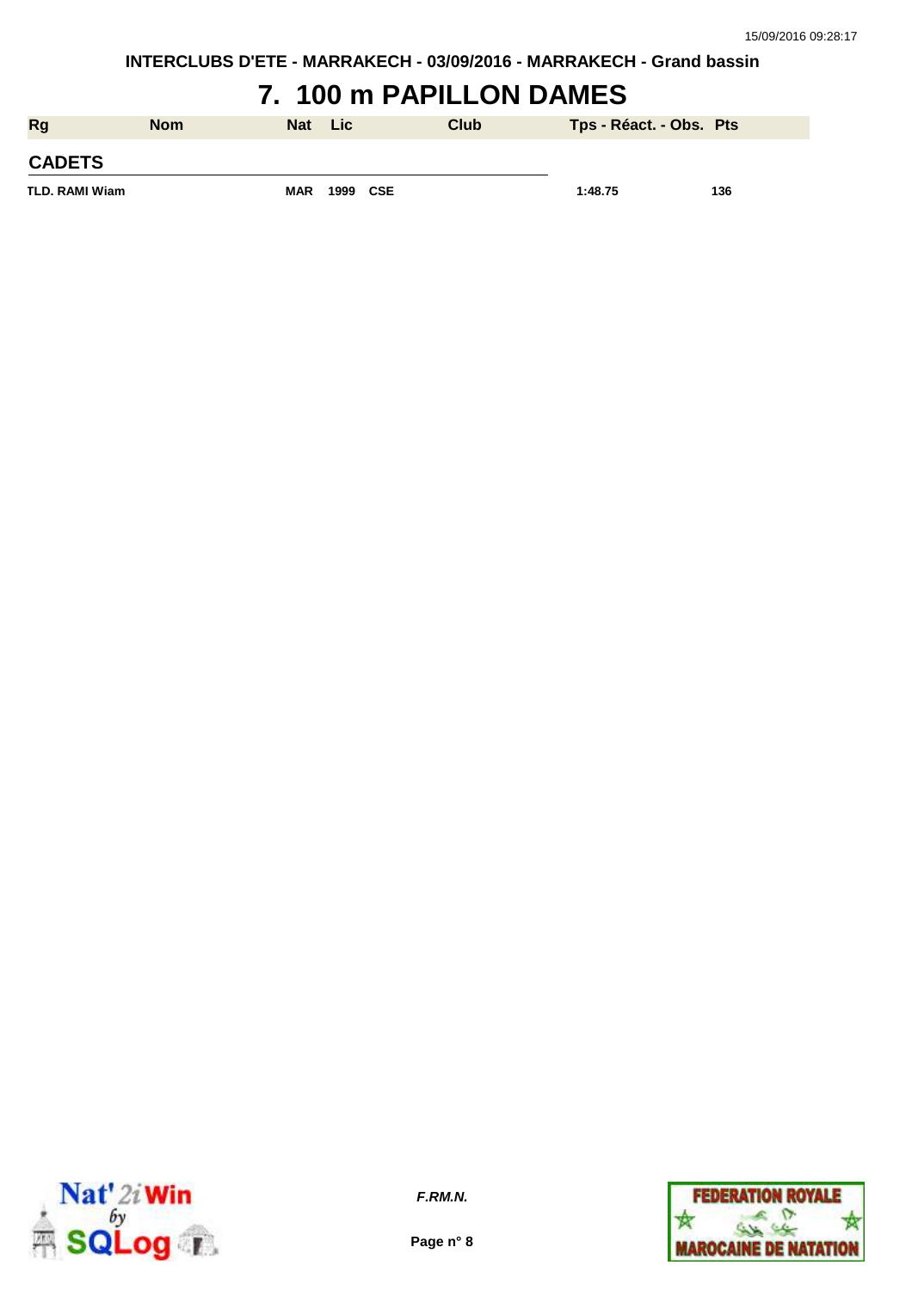### **7. 100 m PAPILLON DAMES**

| <b>Rg</b>             | <b>Nom</b> | <b>Nat</b> | <b>Lic</b> | Club | Tps - Réact. - Obs. Pts |     |
|-----------------------|------------|------------|------------|------|-------------------------|-----|
| <b>CADETS</b>         |            |            |            |      |                         |     |
| <b>TLD. RAMI Wiam</b> |            | <b>MAR</b> | 1999 CSE   |      | 1:48.75                 | 136 |



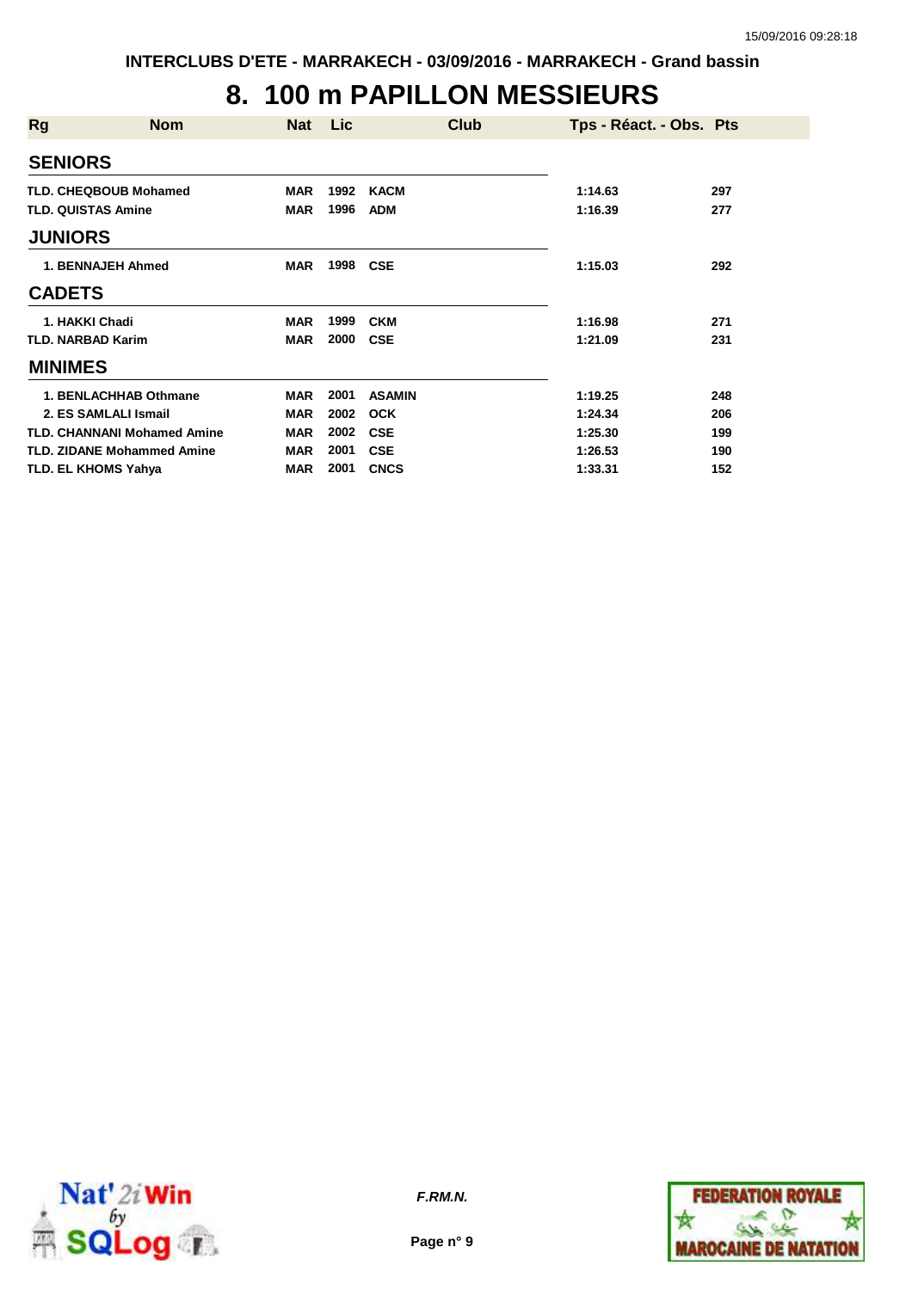## **8. 100 m PAPILLON MESSIEURS**

| <b>Rg</b>                 | <b>Nom</b>                         | Nat        | <b>Lic</b> | Club          | Tps - Réact. - Obs. Pts |     |
|---------------------------|------------------------------------|------------|------------|---------------|-------------------------|-----|
| <b>SENIORS</b>            |                                    |            |            |               |                         |     |
|                           | <b>TLD. CHEQBOUB Mohamed</b>       | <b>MAR</b> | 1992       | KACM          | 1:14.63                 | 297 |
| <b>TLD. QUISTAS Amine</b> |                                    | <b>MAR</b> | 1996       | <b>ADM</b>    | 1:16.39                 | 277 |
| <b>JUNIORS</b>            |                                    |            |            |               |                         |     |
|                           | 1. BENNAJEH Ahmed                  | <b>MAR</b> | 1998       | <b>CSE</b>    | 1:15.03                 | 292 |
| <b>CADETS</b>             |                                    |            |            |               |                         |     |
| 1. HAKKI Chadi            |                                    | <b>MAR</b> | 1999       | <b>CKM</b>    | 1:16.98                 | 271 |
| <b>TLD. NARBAD Karim</b>  |                                    | <b>MAR</b> | 2000       | <b>CSE</b>    | 1:21.09                 | 231 |
| <b>MINIMES</b>            |                                    |            |            |               |                         |     |
|                           | 1. BENLACHHAB Othmane              | <b>MAR</b> | 2001       | <b>ASAMIN</b> | 1:19.25                 | 248 |
|                           | 2. ES SAMLALI Ismail               | <b>MAR</b> | 2002       | <b>OCK</b>    | 1:24.34                 | 206 |
|                           | <b>TLD. CHANNANI Mohamed Amine</b> | <b>MAR</b> | 2002       | <b>CSE</b>    | 1:25.30                 | 199 |
|                           | <b>TLD. ZIDANE Mohammed Amine</b>  | <b>MAR</b> | 2001       | <b>CSE</b>    | 1:26.53                 | 190 |
|                           | <b>TLD. EL KHOMS Yahya</b>         | <b>MAR</b> | 2001       | <b>CNCS</b>   | 1:33.31                 | 152 |



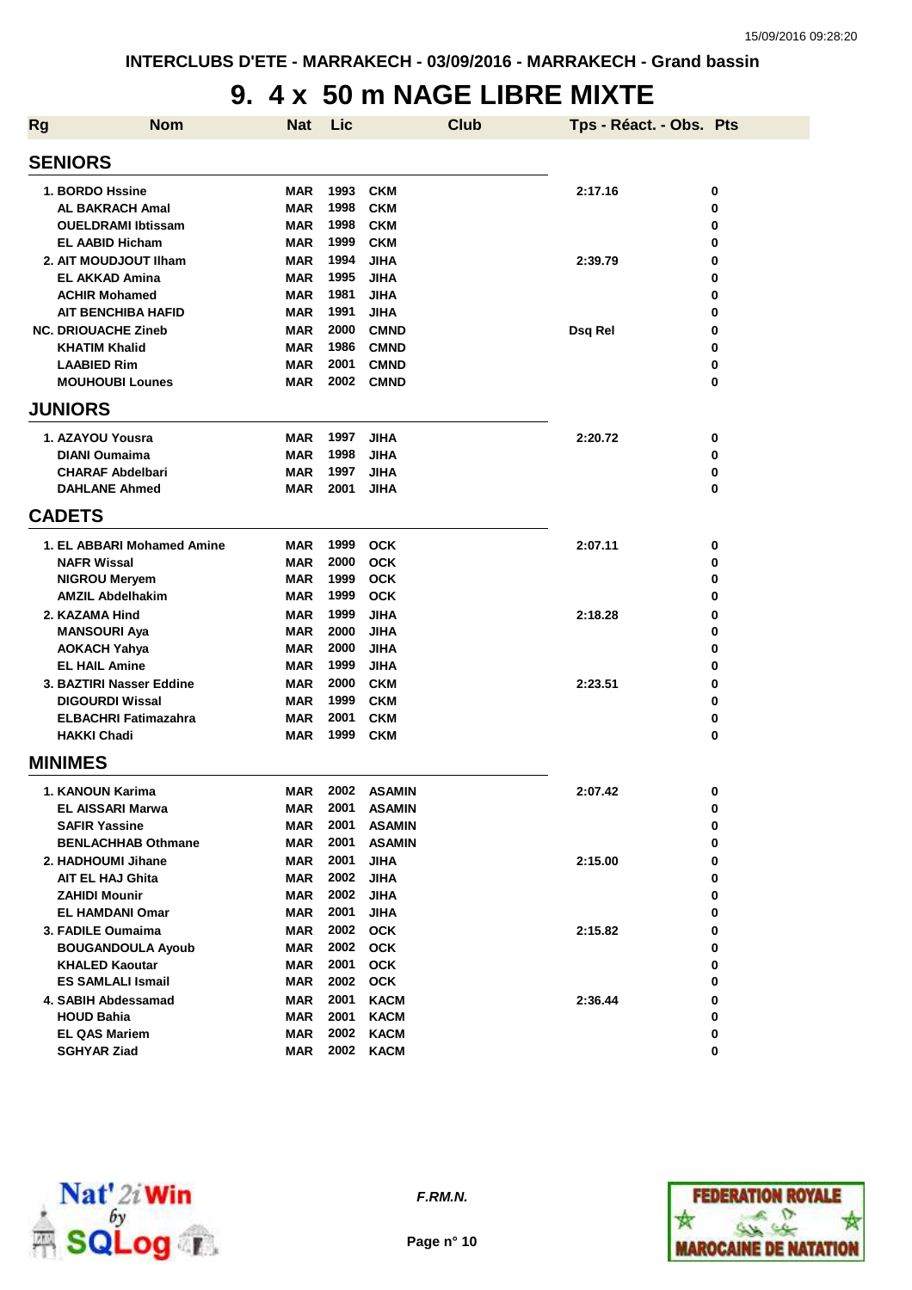### **9. 4 x 50 m NAGE LIBRE MIXTE**

| <b>Rg</b> | <b>Nom</b>                  | <b>Nat</b> | Lic  |               | <b>Club</b> | Tps - Réact. - Obs. Pts |   |
|-----------|-----------------------------|------------|------|---------------|-------------|-------------------------|---|
|           | <b>SENIORS</b>              |            |      |               |             |                         |   |
|           | 1. BORDO Hssine             | <b>MAR</b> | 1993 | <b>CKM</b>    |             | 2:17.16                 | 0 |
|           | <b>AL BAKRACH Amal</b>      | MAR        | 1998 | <b>CKM</b>    |             |                         | 0 |
|           | <b>OUELDRAMI Ibtissam</b>   | <b>MAR</b> | 1998 | <b>CKM</b>    |             |                         | 0 |
|           | <b>EL AABID Hicham</b>      | MAR        | 1999 | <b>CKM</b>    |             |                         | 0 |
|           | 2. AIT MOUDJOUT IIham       | <b>MAR</b> | 1994 | <b>JIHA</b>   |             | 2:39.79                 | 0 |
|           | <b>EL AKKAD Amina</b>       | <b>MAR</b> | 1995 | <b>JIHA</b>   |             |                         | 0 |
|           | <b>ACHIR Mohamed</b>        | <b>MAR</b> | 1981 | <b>JIHA</b>   |             |                         | 0 |
|           | <b>AIT BENCHIBA HAFID</b>   | <b>MAR</b> | 1991 | <b>JIHA</b>   |             |                         | 0 |
|           | <b>NC. DRIOUACHE Zineb</b>  | <b>MAR</b> | 2000 | <b>CMND</b>   |             | Dsq Rel                 | 0 |
|           | <b>KHATIM Khalid</b>        | <b>MAR</b> | 1986 | <b>CMND</b>   |             |                         | 0 |
|           | <b>LAABIED Rim</b>          | <b>MAR</b> | 2001 | <b>CMND</b>   |             |                         | 0 |
|           | <b>MOUHOUBI Lounes</b>      | <b>MAR</b> | 2002 | <b>CMND</b>   |             |                         | 0 |
|           | <b>JUNIORS</b>              |            |      |               |             |                         |   |
|           | 1. AZAYOU Yousra            | MAR        | 1997 | <b>JIHA</b>   |             | 2:20.72                 | 0 |
|           | <b>DIANI Oumaima</b>        | <b>MAR</b> | 1998 | <b>JIHA</b>   |             |                         | 0 |
|           | <b>CHARAF Abdelbari</b>     | <b>MAR</b> | 1997 | <b>JIHA</b>   |             |                         | 0 |
|           | <b>DAHLANE Ahmed</b>        | <b>MAR</b> | 2001 | <b>JIHA</b>   |             |                         | 0 |
|           | <b>CADETS</b>               |            |      |               |             |                         |   |
|           | 1. EL ABBARI Mohamed Amine  | <b>MAR</b> | 1999 | <b>OCK</b>    |             | 2:07.11                 | 0 |
|           | <b>NAFR Wissal</b>          | <b>MAR</b> | 2000 | <b>OCK</b>    |             |                         | 0 |
|           | <b>NIGROU Meryem</b>        | <b>MAR</b> | 1999 | <b>OCK</b>    |             |                         | 0 |
|           | <b>AMZIL Abdelhakim</b>     | <b>MAR</b> | 1999 | <b>OCK</b>    |             |                         | 0 |
|           | 2. KAZAMA Hind              | <b>MAR</b> | 1999 | <b>JIHA</b>   |             | 2:18.28                 | 0 |
|           | <b>MANSOURI Aya</b>         | <b>MAR</b> | 2000 | <b>JIHA</b>   |             |                         | 0 |
|           | <b>AOKACH Yahya</b>         | MAR        | 2000 | <b>JIHA</b>   |             |                         | 0 |
|           | <b>EL HAIL Amine</b>        | MAR        | 1999 | <b>JIHA</b>   |             |                         | 0 |
|           | 3. BAZTIRI Nasser Eddine    | MAR        | 2000 | <b>CKM</b>    |             | 2:23.51                 | 0 |
|           | <b>DIGOURDI Wissal</b>      | <b>MAR</b> | 1999 | <b>CKM</b>    |             |                         | 0 |
|           | <b>ELBACHRI Fatimazahra</b> | <b>MAR</b> | 2001 | <b>CKM</b>    |             |                         | 0 |
|           | <b>HAKKI Chadi</b>          | <b>MAR</b> | 1999 | <b>CKM</b>    |             |                         | 0 |
|           | <b>MINIMES</b>              |            |      |               |             |                         |   |
|           | 1. KANOUN Karima            | MAR        | 2002 | <b>ASAMIN</b> |             | 2:07.42                 | 0 |
|           | <b>EL AISSARI Marwa</b>     | MAR        | 2001 | <b>ASAMIN</b> |             |                         | 0 |
|           | <b>SAFIR Yassine</b>        | <b>MAR</b> | 2001 | <b>ASAMIN</b> |             |                         | 0 |
|           | <b>BENLACHHAB Othmane</b>   | <b>MAR</b> | 2001 | <b>ASAMIN</b> |             |                         | 0 |
|           | 2. HADHOUMI Jihane          | MAR        | 2001 | <b>JIHA</b>   |             | 2:15.00                 | 0 |
|           | <b>AIT EL HAJ Ghita</b>     | MAR        | 2002 | <b>JIHA</b>   |             |                         | 0 |
|           | <b>ZAHIDI Mounir</b>        | MAR        | 2002 | <b>JIHA</b>   |             |                         | 0 |
|           | <b>EL HAMDANI Omar</b>      | MAR        | 2001 | <b>JIHA</b>   |             |                         | 0 |
|           | 3. FADILE Oumaima           | MAR        | 2002 | <b>OCK</b>    |             | 2:15.82                 | 0 |
|           | <b>BOUGANDOULA Ayoub</b>    | MAR        | 2002 | <b>OCK</b>    |             |                         | 0 |
|           | <b>KHALED Kaoutar</b>       | MAR        | 2001 | <b>OCK</b>    |             |                         | 0 |
|           | <b>ES SAMLALI Ismail</b>    | <b>MAR</b> | 2002 | <b>OCK</b>    |             |                         | 0 |
|           | 4. SABIH Abdessamad         | MAR        | 2001 | <b>KACM</b>   |             | 2:36.44                 | 0 |
|           | <b>HOUD Bahia</b>           | MAR        | 2001 | <b>KACM</b>   |             |                         | 0 |
|           | <b>EL QAS Mariem</b>        | MAR        | 2002 | <b>KACM</b>   |             |                         | 0 |
|           | <b>SGHYAR Ziad</b>          | MAR        | 2002 | <b>KACM</b>   |             |                         | 0 |



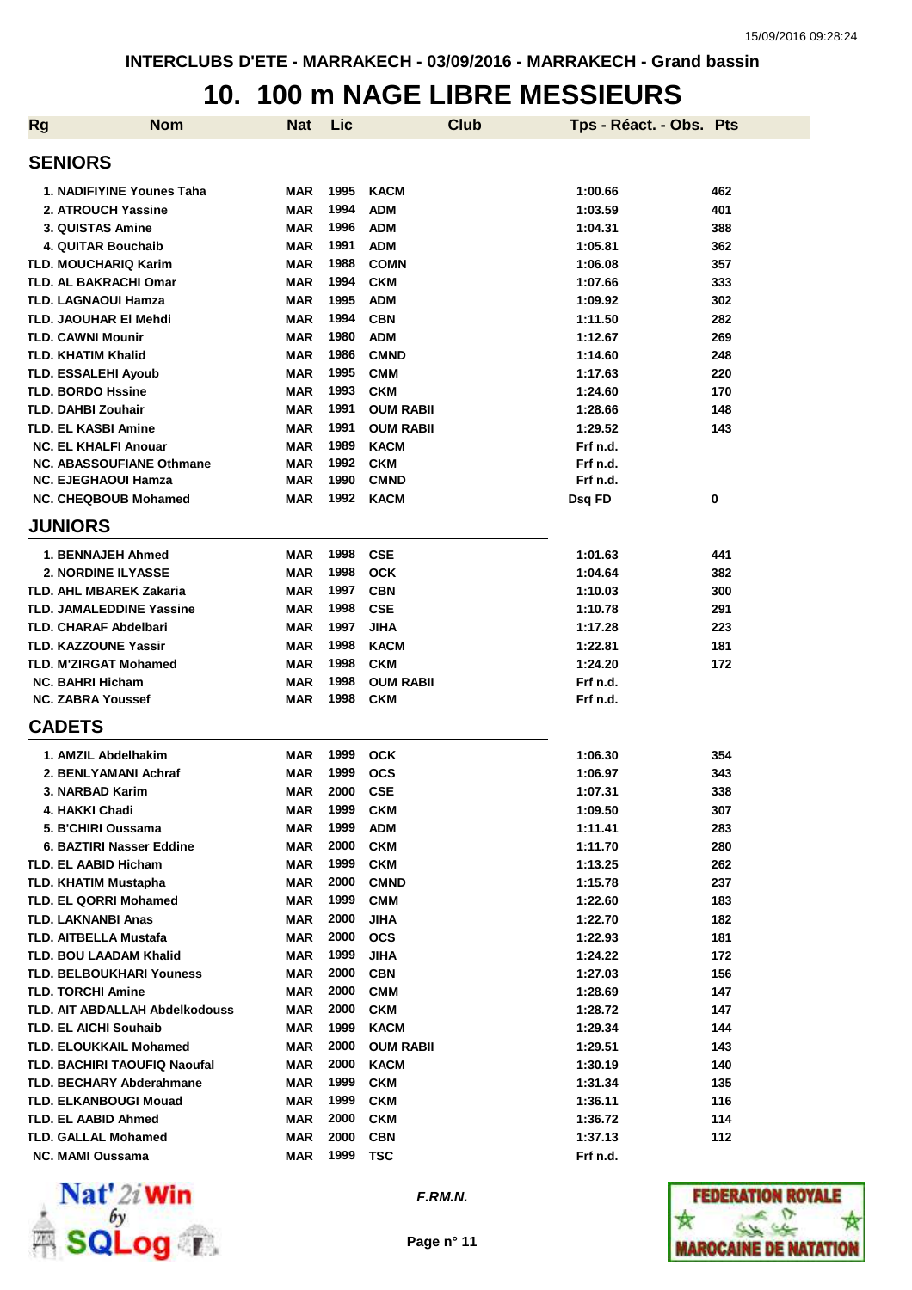#### **10. 100 m NAGE LIBRE MESSIEURS**

| <b>Rg</b> | <b>Nom</b>                                                      | <b>Nat</b>               | Lic          | <b>Club</b>                    | Tps - Réact. - Obs. Pts |            |
|-----------|-----------------------------------------------------------------|--------------------------|--------------|--------------------------------|-------------------------|------------|
|           | <b>SENIORS</b>                                                  |                          |              |                                |                         |            |
|           | 1. NADIFIYINE Younes Taha                                       | <b>MAR</b>               | 1995         | <b>KACM</b>                    | 1:00.66                 | 462        |
|           | 2. ATROUCH Yassine                                              | <b>MAR</b>               | 1994         | <b>ADM</b>                     | 1:03.59                 | 401        |
|           | 3. QUISTAS Amine                                                | <b>MAR</b>               | 1996         | <b>ADM</b>                     | 1:04.31                 | 388        |
|           | 4. QUITAR Bouchaib                                              | <b>MAR</b>               | 1991         | <b>ADM</b>                     | 1:05.81                 | 362        |
|           | <b>TLD. MOUCHARIQ Karim</b>                                     | <b>MAR</b>               | 1988         | <b>COMN</b>                    | 1:06.08                 | 357        |
|           | <b>TLD. AL BAKRACHI Omar</b>                                    | <b>MAR</b>               | 1994         | <b>CKM</b>                     | 1:07.66                 | 333        |
|           | <b>TLD. LAGNAOUI Hamza</b>                                      | <b>MAR</b>               | 1995         | <b>ADM</b>                     | 1:09.92                 | 302        |
|           | TLD. JAOUHAR EI Mehdi                                           | <b>MAR</b>               | 1994         | <b>CBN</b>                     | 1:11.50                 | 282        |
|           | <b>TLD. CAWNI Mounir</b>                                        | <b>MAR</b>               | 1980         | <b>ADM</b>                     | 1:12.67                 | 269        |
|           | <b>TLD. KHATIM Khalid</b>                                       | <b>MAR</b>               | 1986         | <b>CMND</b>                    | 1:14.60                 | 248        |
|           | <b>TLD. ESSALEHI Ayoub</b>                                      | <b>MAR</b>               | 1995         | <b>CMM</b>                     | 1:17.63                 | 220        |
|           | <b>TLD. BORDO Hssine</b>                                        | <b>MAR</b>               | 1993         | <b>CKM</b>                     | 1:24.60                 | 170        |
|           | <b>TLD. DAHBI Zouhair</b>                                       | <b>MAR</b>               | 1991         | <b>OUM RABII</b>               | 1:28.66                 | 148        |
|           | <b>TLD. EL KASBI Amine</b>                                      | <b>MAR</b>               | 1991         | <b>OUM RABII</b>               | 1:29.52                 | 143        |
|           | <b>NC. EL KHALFI Anouar</b>                                     | <b>MAR</b>               | 1989         | <b>KACM</b>                    | Frf n.d.                |            |
|           | <b>NC. ABASSOUFIANE Othmane</b>                                 | <b>MAR</b>               | 1992         | <b>CKM</b>                     | Frf n.d.                |            |
|           | <b>NC. EJEGHAOUI Hamza</b>                                      | <b>MAR</b>               | 1990         | <b>CMND</b>                    | Frf n.d.                |            |
|           | <b>NC. CHEQBOUB Mohamed</b>                                     | <b>MAR</b>               | 1992         | <b>KACM</b>                    | Dsq FD                  | 0          |
|           | <b>JUNIORS</b>                                                  |                          |              |                                |                         |            |
|           | 1. BENNAJEH Ahmed                                               | <b>MAR</b>               | 1998         |                                |                         | 441        |
|           | <b>2. NORDINE ILYASSE</b>                                       | <b>MAR</b>               | 1998         | <b>CSE</b><br><b>OCK</b>       | 1:01.63                 | 382        |
|           | <b>TLD. AHL MBAREK Zakaria</b>                                  | <b>MAR</b>               | 1997         |                                | 1:04.64                 | 300        |
|           |                                                                 |                          | 1998         | <b>CBN</b><br><b>CSE</b>       | 1:10.03                 |            |
|           | <b>TLD. JAMALEDDINE Yassine</b><br><b>TLD. CHARAF Abdelbari</b> | <b>MAR</b>               | 1997         |                                | 1:10.78                 | 291<br>223 |
|           |                                                                 | <b>MAR</b>               |              | <b>JIHA</b>                    | 1:17.28                 |            |
|           | <b>TLD. KAZZOUNE Yassir</b>                                     | <b>MAR</b>               | 1998         | <b>KACM</b>                    | 1:22.81                 | 181        |
|           | <b>TLD. M'ZIRGAT Mohamed</b>                                    | <b>MAR</b>               | 1998         | <b>CKM</b>                     | 1:24.20                 | 172        |
|           | <b>NC. BAHRI Hicham</b><br><b>NC. ZABRA Youssef</b>             | <b>MAR</b><br><b>MAR</b> | 1998<br>1998 | <b>OUM RABII</b><br><b>CKM</b> | Frf n.d.<br>Frf n.d.    |            |
|           |                                                                 |                          |              |                                |                         |            |
|           | <b>CADETS</b>                                                   |                          |              |                                |                         |            |
|           | 1. AMZIL Abdelhakim                                             | <b>MAR</b>               | 1999         | <b>OCK</b>                     | 1:06.30                 | 354        |
|           | 2. BENLYAMANI Achraf                                            | <b>MAR</b>               | 1999         | <b>OCS</b>                     | 1:06.97                 | 343        |
|           | 3. NARBAD Karim                                                 | <b>MAR</b>               | 2000         | <b>CSE</b>                     | 1:07.31                 | 338        |
|           | 4. HAKKI Chadi                                                  | <b>MAR</b>               | 1999         | <b>CKM</b>                     | 1:09.50                 | 307        |
|           | 5. B'CHIRI Oussama                                              | <b>MAR</b>               | 1999         | <b>ADM</b>                     | 1:11.41                 | 283        |
|           | 6. BAZTIRI Nasser Eddine                                        | <b>MAR</b>               | 2000         | <b>CKM</b>                     | 1:11.70                 | 280        |
|           | <b>TLD. EL AABID Hicham</b>                                     | <b>MAR</b>               | 1999         | <b>CKM</b>                     | 1:13.25                 | 262        |
|           | <b>TLD. KHATIM Mustapha</b>                                     | <b>MAR</b>               | 2000         | <b>CMND</b>                    | 1:15.78                 | 237        |
|           | <b>TLD. EL QORRI Mohamed</b>                                    | MAR                      | 1999         | <b>CMM</b>                     | 1:22.60                 | 183        |
|           | <b>TLD. LAKNANBI Anas</b>                                       | <b>MAR</b>               | 2000         | <b>JIHA</b>                    | 1:22.70                 | 182        |
|           | <b>TLD. AITBELLA Mustafa</b>                                    | <b>MAR</b>               | 2000         | <b>OCS</b>                     | 1:22.93                 | 181        |
|           | <b>TLD. BOU LAADAM Khalid</b>                                   | <b>MAR</b>               | 1999         | <b>JIHA</b>                    | 1:24.22                 | 172        |
|           | <b>TLD. BELBOUKHARI Youness</b>                                 | MAR                      | 2000         | <b>CBN</b>                     | 1:27.03                 | 156        |
|           | <b>TLD. TORCHI Amine</b>                                        | MAR                      | 2000         | <b>CMM</b>                     | 1:28.69                 | 147        |
|           | TLD. AIT ABDALLAH Abdelkodouss                                  | <b>MAR</b>               | 2000         | <b>CKM</b>                     | 1:28.72                 | 147        |
|           | <b>TLD. EL AICHI Souhaib</b>                                    | <b>MAR</b>               | 1999         | <b>KACM</b>                    | 1:29.34                 | 144        |
|           | <b>TLD. ELOUKKAIL Mohamed</b>                                   | <b>MAR</b>               | 2000         | <b>OUM RABII</b>               | 1:29.51                 | 143        |
|           | TLD. BACHIRI TAOUFIQ Naoufal                                    | <b>MAR</b>               | 2000         | <b>KACM</b>                    | 1:30.19                 | 140        |
|           | <b>TLD. BECHARY Abderahmane</b>                                 | <b>MAR</b>               | 1999         | <b>CKM</b>                     | 1:31.34                 | 135        |
|           | <b>TLD. ELKANBOUGI Mouad</b>                                    | <b>MAR</b>               | 1999         | <b>CKM</b>                     | 1:36.11                 | 116        |
|           | TLD. EL AABID Ahmed                                             | <b>MAR</b>               | 2000         | <b>CKM</b>                     | 1:36.72                 | 114        |
|           | <b>TLD. GALLAL Mohamed</b>                                      | <b>MAR</b>               | 2000         | <b>CBN</b>                     | 1:37.13                 | 112        |
|           | <b>NC. MAMI Oussama</b>                                         | <b>MAR</b>               | 1999         | <b>TSC</b>                     | Frf n.d.                |            |



**F.RM.N.**

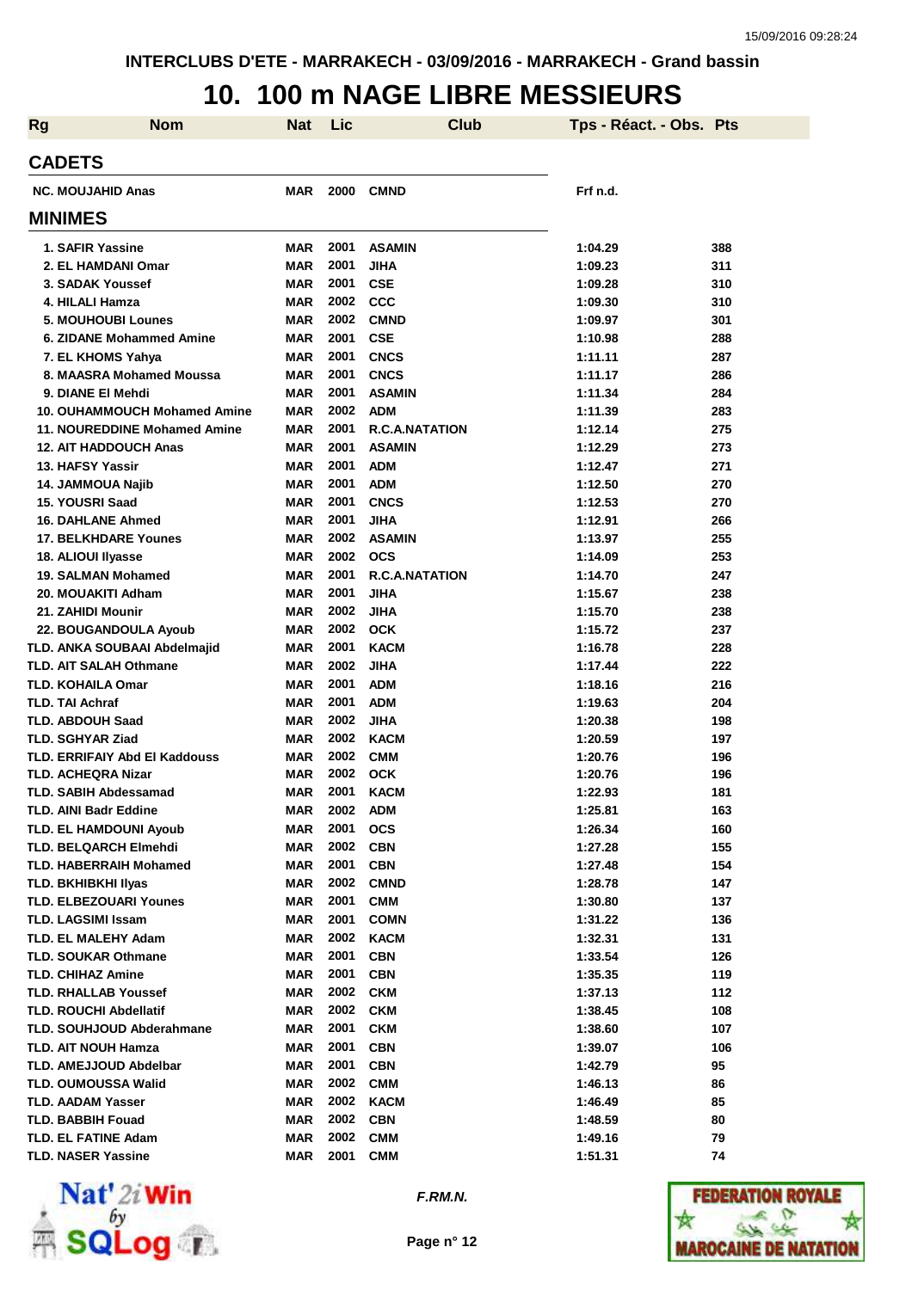#### **10. 100 m NAGE LIBRE MESSIEURS**

| <b>Rg</b> | <b>Nom</b>                                                | <b>Nat</b>               | <b>Lic</b>   | <b>Club</b>                | Tps - Réact. - Obs. Pts |            |
|-----------|-----------------------------------------------------------|--------------------------|--------------|----------------------------|-------------------------|------------|
|           | <b>CADETS</b>                                             |                          |              |                            |                         |            |
|           | <b>NC. MOUJAHID Anas</b>                                  | MAR                      | 2000         | <b>CMND</b>                | Frf n.d.                |            |
|           | <b>MINIMES</b>                                            |                          |              |                            |                         |            |
|           | 1. SAFIR Yassine                                          | <b>MAR</b>               | 2001         | <b>ASAMIN</b>              | 1:04.29                 | 388        |
|           | 2. EL HAMDANI Omar                                        | <b>MAR</b>               | 2001         | JIHA                       | 1:09.23                 | 311        |
|           | 3. SADAK Youssef                                          | <b>MAR</b>               | 2001         | <b>CSE</b>                 | 1:09.28                 | 310        |
|           | 4. HILALI Hamza                                           | <b>MAR</b>               | 2002         | CCC                        | 1:09.30                 | 310        |
|           | 5. MOUHOUBI Lounes                                        | <b>MAR</b>               | 2002         | <b>CMND</b>                | 1:09.97                 | 301        |
|           | 6. ZIDANE Mohammed Amine                                  | <b>MAR</b>               | 2001         | <b>CSE</b>                 | 1:10.98                 | 288        |
|           | 7. EL KHOMS Yahya                                         | <b>MAR</b>               | 2001         | <b>CNCS</b>                | 1:11.11                 | 287        |
|           | 8. MAASRA Mohamed Moussa                                  | <b>MAR</b>               | 2001         | <b>CNCS</b>                | 1:11.17                 | 286        |
|           | 9. DIANE EI Mehdi                                         | <b>MAR</b>               | 2001         | <b>ASAMIN</b>              | 1:11.34                 | 284        |
|           | <b>10. OUHAMMOUCH Mohamed Amine</b>                       | <b>MAR</b>               | 2002         | <b>ADM</b>                 | 1:11.39                 | 283        |
|           | <b>11. NOUREDDINE Mohamed Amine</b>                       | <b>MAR</b>               | 2001         | <b>R.C.A.NATATION</b>      | 1:12.14                 | 275        |
|           | <b>12. AIT HADDOUCH Anas</b>                              | <b>MAR</b>               | 2001         | <b>ASAMIN</b>              | 1:12.29                 | 273        |
|           | 13. HAFSY Yassir                                          | <b>MAR</b>               | 2001         | <b>ADM</b>                 | 1:12.47                 | 271        |
|           | <b>14. JAMMOUA Najib</b>                                  | <b>MAR</b>               | 2001         | <b>ADM</b>                 | 1:12.50                 | 270        |
|           | 15. YOUSRI Saad                                           | <b>MAR</b>               | 2001         | <b>CNCS</b>                | 1:12.53                 | 270        |
|           | <b>16. DAHLANE Ahmed</b>                                  | <b>MAR</b>               | 2001         | JIHA                       | 1:12.91                 | 266        |
|           | <b>17. BELKHDARE Younes</b>                               | <b>MAR</b>               | 2002         | <b>ASAMIN</b>              | 1:13.97                 | 255        |
|           | 18. ALIOUI Ilyasse                                        | <b>MAR</b>               | 2002         | <b>OCS</b>                 | 1:14.09                 | 253        |
|           | 19. SALMAN Mohamed                                        | <b>MAR</b>               | 2001         | <b>R.C.A.NATATION</b>      | 1:14.70                 | 247        |
|           | 20. MOUAKITI Adham                                        | <b>MAR</b>               | 2001<br>2002 | JIHA                       | 1:15.67                 | 238        |
|           | 21. ZAHIDI Mounir                                         | <b>MAR</b>               | 2002         | <b>JIHA</b>                | 1:15.70                 | 238        |
|           | 22. BOUGANDOULA Ayoub                                     | <b>MAR</b>               | 2001         | <b>OCK</b>                 | 1:15.72                 | 237        |
|           | TLD. ANKA SOUBAAI Abdelmajid                              | <b>MAR</b><br><b>MAR</b> | 2002         | <b>KACM</b><br><b>JIHA</b> | 1:16.78                 | 228        |
|           | <b>TLD. AIT SALAH Othmane</b><br><b>TLD. KOHAILA Omar</b> | <b>MAR</b>               | 2001         | <b>ADM</b>                 | 1:17.44<br>1:18.16      | 222<br>216 |
|           | <b>TLD. TAI Achraf</b>                                    | <b>MAR</b>               | 2001         | <b>ADM</b>                 | 1:19.63                 | 204        |
|           | TLD. ABDOUH Saad                                          | <b>MAR</b>               | 2002         | <b>JIHA</b>                | 1:20.38                 | 198        |
|           | <b>TLD. SGHYAR Ziad</b>                                   | <b>MAR</b>               | 2002         | <b>KACM</b>                | 1:20.59                 | 197        |
|           | <b>TLD. ERRIFAIY Abd EI Kaddouss</b>                      | <b>MAR</b>               | 2002         | <b>CMM</b>                 | 1:20.76                 | 196        |
|           | <b>TLD. ACHEQRA Nizar</b>                                 | <b>MAR</b>               | 2002         | <b>OCK</b>                 | 1:20.76                 | 196        |
|           | TLD. SABIH Abdessamad                                     | <b>MAR</b>               | 2001         | <b>KACM</b>                | 1:22.93                 | 181        |
|           | <b>TLD. AINI Badr Eddine</b>                              | MAR                      | 2002         | <b>ADM</b>                 | 1:25.81                 | 163        |
|           | <b>TLD. EL HAMDOUNI Ayoub</b>                             | <b>MAR</b>               | 2001         | <b>OCS</b>                 | 1:26.34                 | 160        |
|           | <b>TLD. BELQARCH Elmehdi</b>                              | <b>MAR</b>               | 2002         | <b>CBN</b>                 | 1:27.28                 | 155        |
|           | <b>TLD. HABERRAIH Mohamed</b>                             | <b>MAR</b>               | 2001         | <b>CBN</b>                 | 1:27.48                 | 154        |
|           | <b>TLD. BKHIBKHI IIyas</b>                                | <b>MAR</b>               | 2002         | <b>CMND</b>                | 1:28.78                 | 147        |
|           | <b>TLD. ELBEZOUARI Younes</b>                             | <b>MAR</b>               | 2001         | <b>CMM</b>                 | 1:30.80                 | 137        |
|           | <b>TLD. LAGSIMI Issam</b>                                 | <b>MAR</b>               | 2001         | <b>COMN</b>                | 1:31.22                 | 136        |
|           | TLD. EL MALEHY Adam                                       | <b>MAR</b>               | 2002         | <b>KACM</b>                | 1:32.31                 | 131        |
|           | <b>TLD. SOUKAR Othmane</b>                                | <b>MAR</b>               | 2001         | <b>CBN</b>                 | 1:33.54                 | 126        |
|           | <b>TLD. CHIHAZ Amine</b>                                  | <b>MAR</b>               | 2001         | <b>CBN</b>                 | 1:35.35                 | 119        |
|           | <b>TLD. RHALLAB Youssef</b>                               | <b>MAR</b>               | 2002         | <b>CKM</b>                 | 1:37.13                 | 112        |
|           | <b>TLD. ROUCHI Abdellatif</b>                             | <b>MAR</b>               | 2002         | <b>CKM</b>                 | 1:38.45                 | 108        |
|           | <b>TLD. SOUHJOUD Abderahmane</b>                          | <b>MAR</b>               | 2001         | <b>CKM</b>                 | 1:38.60                 | 107        |
|           | <b>TLD. AIT NOUH Hamza</b>                                | <b>MAR</b>               | 2001         | <b>CBN</b>                 | 1:39.07                 | 106        |
|           | <b>TLD. AMEJJOUD Abdelbar</b>                             | <b>MAR</b>               | 2001         | <b>CBN</b>                 | 1:42.79                 | 95         |
|           | <b>TLD. OUMOUSSA Walid</b>                                | <b>MAR</b>               | 2002         | <b>CMM</b>                 | 1:46.13                 | 86         |
|           | <b>TLD. AADAM Yasser</b>                                  | <b>MAR</b>               | 2002         | <b>KACM</b>                | 1:46.49                 | 85         |
|           | <b>TLD. BABBIH Fouad</b>                                  | <b>MAR</b>               | 2002         | <b>CBN</b>                 | 1:48.59                 | 80         |
|           | <b>TLD. EL FATINE Adam</b>                                | <b>MAR</b>               | 2002         | <b>CMM</b>                 | 1:49.16                 | 79         |
|           | <b>TLD. NASER Yassine</b>                                 | <b>MAR</b>               | 2001         | <b>CMM</b>                 | 1:51.31                 | 74         |



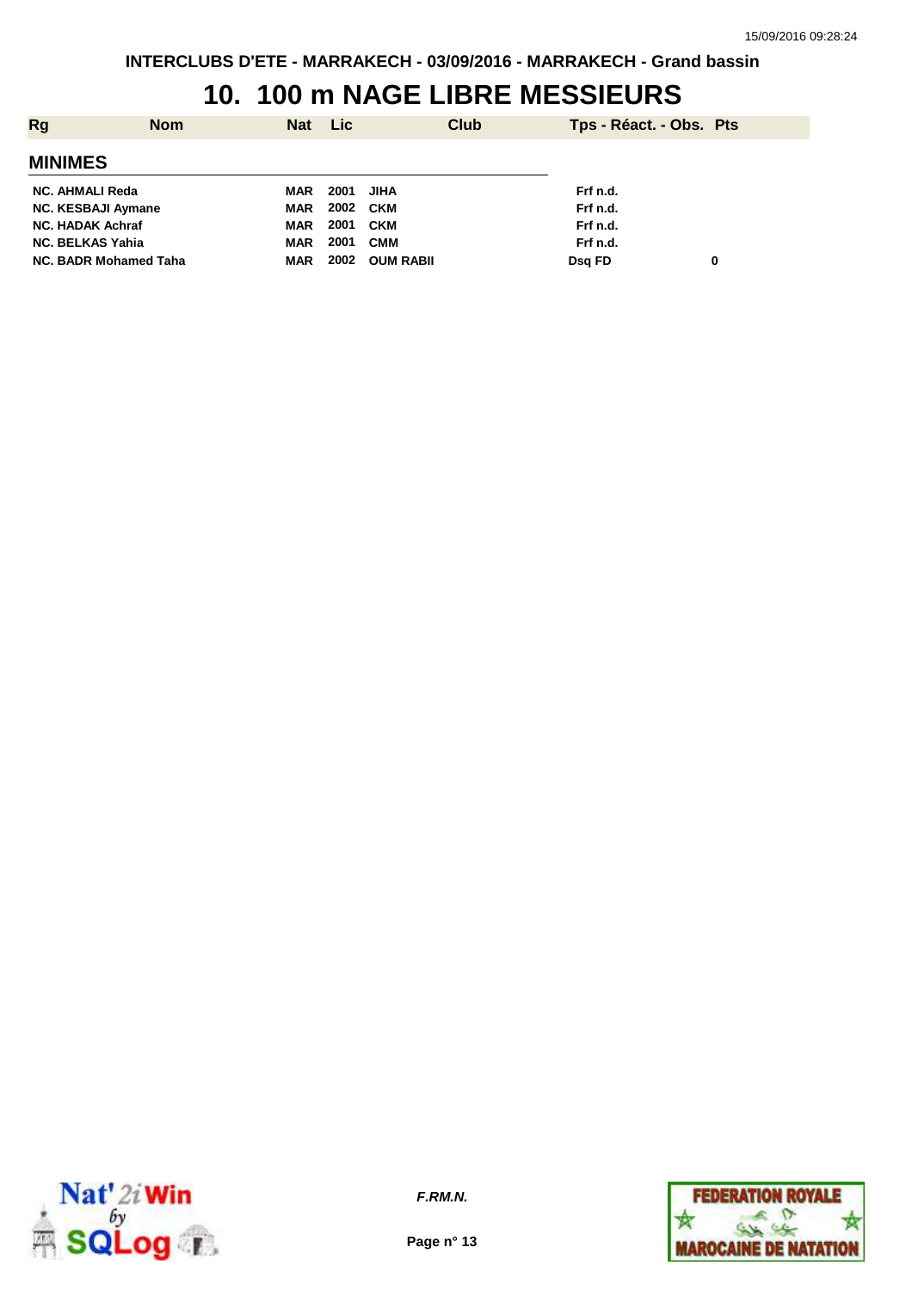#### **10. 100 m NAGE LIBRE MESSIEURS**

| Rg                           | <b>Nom</b> | Nat Lic    |           | <b>Club</b>      | Tps - Réact. - Obs. Pts |   |
|------------------------------|------------|------------|-----------|------------------|-------------------------|---|
| <b>MINIMES</b>               |            |            |           |                  |                         |   |
| NC. AHMALI Reda              |            | MAR        | 2001 JIHA |                  | Frf n.d.                |   |
| <b>NC. KESBAJI Aymane</b>    |            | MAR        | 2002 CKM  |                  | Frf n.d.                |   |
| <b>NC. HADAK Achraf</b>      |            | MAR        | 2001      | CKM              | Frf n.d.                |   |
| <b>NC. BELKAS Yahia</b>      |            | <b>MAR</b> | 2001      | <b>CMM</b>       | Frf n.d.                |   |
| <b>NC. BADR Mohamed Taha</b> |            | MAR        | 2002      | <b>OUM RABIL</b> | Dsg FD                  | 0 |



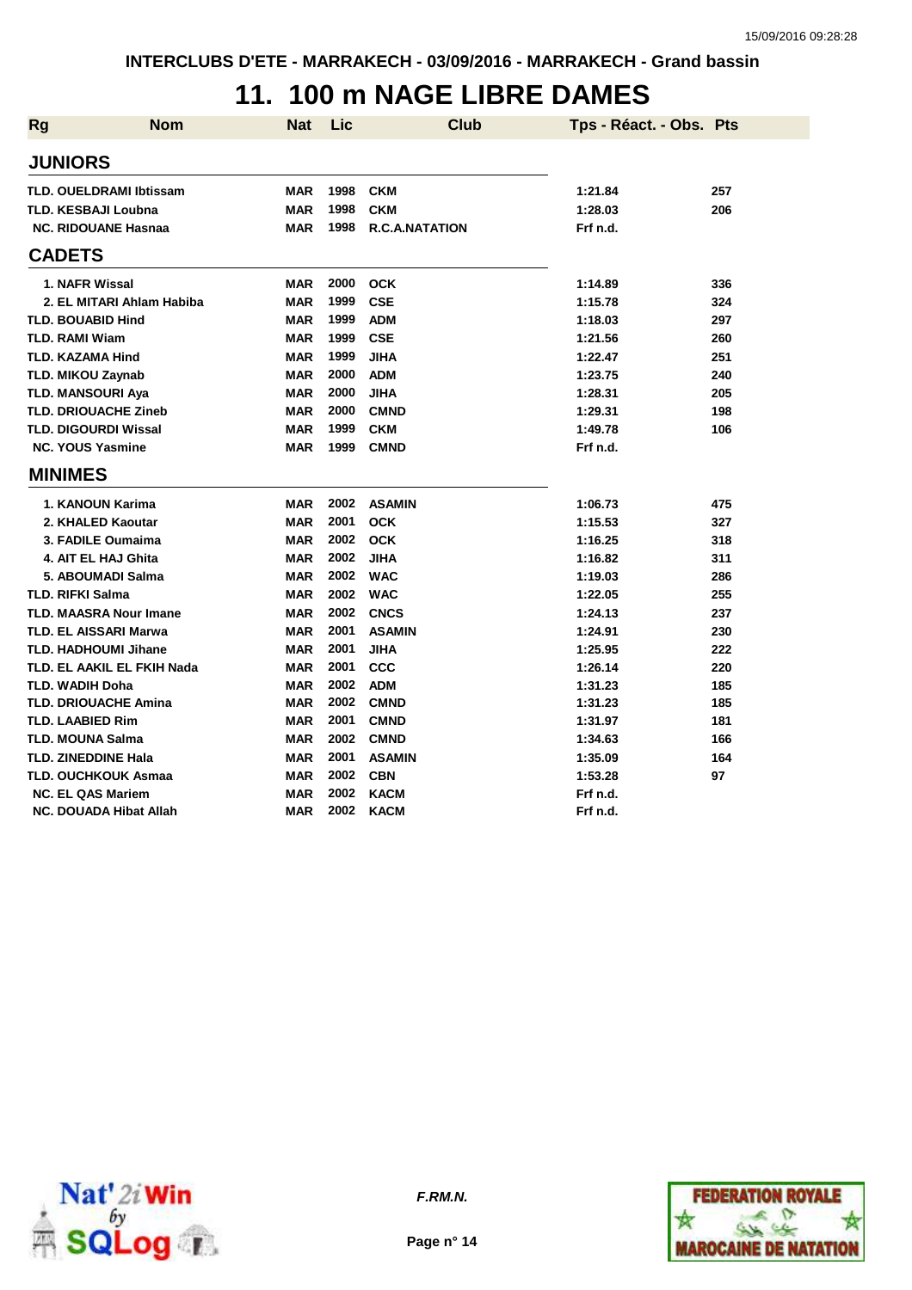### **11. 100 m NAGE LIBRE DAMES**

| <b>Rg</b>               | <b>Nom</b>                     | <b>Nat</b> | Lic  | <b>Club</b>           | Tps - Réact. - Obs. Pts |     |
|-------------------------|--------------------------------|------------|------|-----------------------|-------------------------|-----|
| <b>JUNIORS</b>          |                                |            |      |                       |                         |     |
|                         | <b>TLD. OUELDRAMI Ibtissam</b> | <b>MAR</b> | 1998 | <b>CKM</b>            | 1:21.84                 | 257 |
|                         | <b>TLD. KESBAJI Loubna</b>     | <b>MAR</b> | 1998 | <b>CKM</b>            | 1:28.03                 | 206 |
|                         | <b>NC. RIDOUANE Hasnaa</b>     | <b>MAR</b> | 1998 | <b>R.C.A.NATATION</b> | Frf n.d.                |     |
| <b>CADETS</b>           |                                |            |      |                       |                         |     |
|                         | 1. NAFR Wissal                 | <b>MAR</b> | 2000 | <b>OCK</b>            | 1:14.89                 | 336 |
|                         | 2. EL MITARI Ahlam Habiba      | <b>MAR</b> | 1999 | <b>CSE</b>            | 1:15.78                 | 324 |
|                         | <b>TLD. BOUABID Hind</b>       | <b>MAR</b> | 1999 | <b>ADM</b>            | 1:18.03                 | 297 |
| <b>TLD. RAMI Wiam</b>   |                                | <b>MAR</b> | 1999 | <b>CSE</b>            | 1:21.56                 | 260 |
|                         | <b>TLD. KAZAMA Hind</b>        | <b>MAR</b> | 1999 | <b>JIHA</b>           | 1:22.47                 | 251 |
|                         | <b>TLD. MIKOU Zaynab</b>       | <b>MAR</b> | 2000 | <b>ADM</b>            | 1:23.75                 | 240 |
|                         | <b>TLD. MANSOURI Aya</b>       | <b>MAR</b> | 2000 | <b>JIHA</b>           | 1:28.31                 | 205 |
|                         | <b>TLD. DRIOUACHE Zineb</b>    | <b>MAR</b> | 2000 | <b>CMND</b>           | 1:29.31                 | 198 |
|                         | <b>TLD. DIGOURDI Wissal</b>    | <b>MAR</b> | 1999 | <b>CKM</b>            | 1:49.78                 | 106 |
|                         | <b>NC. YOUS Yasmine</b>        | <b>MAR</b> | 1999 | <b>CMND</b>           | Frf n.d.                |     |
| <b>MINIMES</b>          |                                |            |      |                       |                         |     |
|                         | 1. KANOUN Karima               | <b>MAR</b> | 2002 | <b>ASAMIN</b>         | 1:06.73                 | 475 |
|                         | 2. KHALED Kaoutar              | <b>MAR</b> | 2001 | <b>OCK</b>            | 1:15.53                 | 327 |
|                         | 3. FADILE Oumaima              | <b>MAR</b> | 2002 | <b>OCK</b>            | 1:16.25                 | 318 |
|                         | 4. AIT EL HAJ Ghita            | <b>MAR</b> | 2002 | <b>JIHA</b>           | 1:16.82                 | 311 |
|                         | 5. ABOUMADI Salma              | <b>MAR</b> | 2002 | <b>WAC</b>            | 1:19.03                 | 286 |
| <b>TLD. RIFKI Salma</b> |                                | <b>MAR</b> | 2002 | <b>WAC</b>            | 1:22.05                 | 255 |
|                         | TLD. MAASRA Nour Imane         | <b>MAR</b> | 2002 | <b>CNCS</b>           | 1:24.13                 | 237 |
|                         | <b>TLD. EL AISSARI Marwa</b>   | <b>MAR</b> | 2001 | <b>ASAMIN</b>         | 1:24.91                 | 230 |
|                         | <b>TLD. HADHOUMI Jihane</b>    | <b>MAR</b> | 2001 | <b>JIHA</b>           | 1:25.95                 | 222 |
|                         | TLD. EL AAKIL EL FKIH Nada     | MAR        | 2001 | CCC                   | 1:26.14                 | 220 |
| <b>TLD. WADIH Doha</b>  |                                | <b>MAR</b> | 2002 | <b>ADM</b>            | 1:31.23                 | 185 |
|                         | <b>TLD. DRIOUACHE Amina</b>    | <b>MAR</b> | 2002 | <b>CMND</b>           | 1:31.23                 | 185 |
|                         | <b>TLD. LAABIED Rim</b>        | <b>MAR</b> | 2001 | <b>CMND</b>           | 1:31.97                 | 181 |
|                         | <b>TLD. MOUNA Salma</b>        | <b>MAR</b> | 2002 | <b>CMND</b>           | 1:34.63                 | 166 |
|                         | <b>TLD. ZINEDDINE Hala</b>     | <b>MAR</b> | 2001 | <b>ASAMIN</b>         | 1:35.09                 | 164 |
|                         | <b>TLD. OUCHKOUK Asmaa</b>     | <b>MAR</b> | 2002 | <b>CBN</b>            | 1:53.28                 | 97  |
|                         | <b>NC. EL QAS Mariem</b>       | <b>MAR</b> | 2002 | <b>KACM</b>           | Frf n.d.                |     |
|                         | NC. DOUADA Hibat Allah         | <b>MAR</b> | 2002 | <b>KACM</b>           | Frf n.d.                |     |



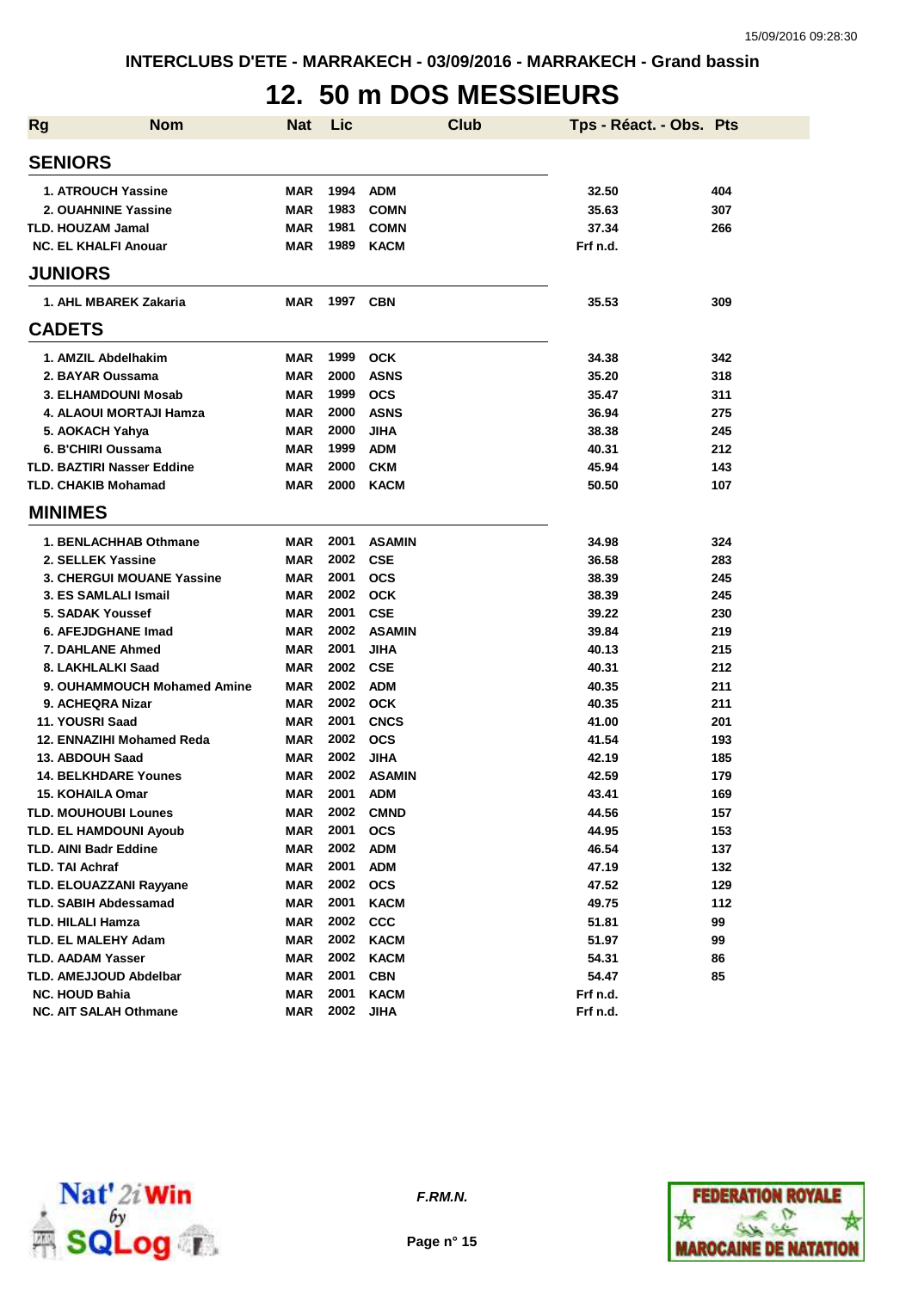## **12. 50 m DOS MESSIEURS**

| <b>Rg</b> | <b>Nom</b>                                             | Nat                      | Lic          |                           | <b>Club</b> | Tps - Réact. - Obs. Pts |            |
|-----------|--------------------------------------------------------|--------------------------|--------------|---------------------------|-------------|-------------------------|------------|
|           | <b>SENIORS</b>                                         |                          |              |                           |             |                         |            |
|           | 1. ATROUCH Yassine                                     | MAR                      | 1994         | <b>ADM</b>                |             | 32.50                   | 404        |
|           | 2. OUAHNINE Yassine                                    | MAR                      | 1983         | <b>COMN</b>               |             | 35.63                   | 307        |
|           | <b>TLD. HOUZAM Jamal</b>                               | MAR                      | 1981         | <b>COMN</b>               |             | 37.34                   | 266        |
|           | <b>NC. EL KHALFI Anouar</b>                            | MAR                      | 1989         | <b>KACM</b>               |             | Frf n.d.                |            |
|           | <b>JUNIORS</b>                                         |                          |              |                           |             |                         |            |
|           | 1. AHL MBAREK Zakaria                                  | MAR                      | 1997         | <b>CBN</b>                |             | 35.53                   | 309        |
|           | <b>CADETS</b>                                          |                          |              |                           |             |                         |            |
|           | 1. AMZIL Abdelhakim                                    | MAR                      | 1999         | <b>OCK</b>                |             | 34.38                   | 342        |
|           | 2. BAYAR Oussama                                       | <b>MAR</b>               | 2000         | <b>ASNS</b>               |             | 35.20                   | 318        |
|           | 3. ELHAMDOUNI Mosab                                    | <b>MAR</b>               | 1999         | <b>OCS</b>                |             | 35.47                   | 311        |
|           | 4. ALAOUI MORTAJI Hamza                                | <b>MAR</b>               | 2000         | <b>ASNS</b>               |             | 36.94                   | 275        |
|           | 5. AOKACH Yahya                                        | MAR                      | 2000         | <b>JIHA</b>               |             | 38.38                   | 245        |
|           | 6. B'CHIRI Oussama                                     | <b>MAR</b>               | 1999         | <b>ADM</b>                |             | 40.31                   | 212        |
|           | <b>TLD. BAZTIRI Nasser Eddine</b>                      | MAR                      | 2000         | <b>CKM</b>                |             | 45.94                   | 143        |
|           | <b>TLD. CHAKIB Mohamad</b>                             | MAR                      | 2000         | <b>KACM</b>               |             | 50.50                   | 107        |
|           | <b>MINIMES</b>                                         |                          |              |                           |             |                         |            |
|           |                                                        |                          |              |                           |             |                         |            |
|           | 1. BENLACHHAB Othmane                                  | MAR                      | 2001         | <b>ASAMIN</b>             |             | 34.98                   | 324        |
|           | 2. SELLEK Yassine                                      | <b>MAR</b>               | 2002         | <b>CSE</b>                |             | 36.58                   | 283        |
|           | <b>3. CHERGUI MOUANE Yassine</b>                       | MAR                      | 2001         | <b>OCS</b>                |             | 38.39                   | 245        |
|           | 3. ES SAMLALI Ismail                                   | MAR                      | 2002         | <b>OCK</b>                |             | 38.39                   | 245        |
|           | 5. SADAK Youssef                                       | MAR                      | 2001<br>2002 | <b>CSE</b>                |             | 39.22                   | 230        |
|           | 6. AFEJDGHANE Imad                                     | MAR                      |              | <b>ASAMIN</b>             |             | 39.84                   | 219        |
|           | <b>7. DAHLANE Ahmed</b>                                | MAR                      | 2001         | JIHA                      |             | 40.13                   | 215        |
|           | 8. LAKHLALKI Saad                                      | MAR                      | 2002         | <b>CSE</b>                |             | 40.31                   | 212        |
|           | 9. OUHAMMOUCH Mohamed Amine<br>9. ACHEQRA Nizar        | MAR                      | 2002<br>2002 | <b>ADM</b><br><b>OCK</b>  |             | 40.35                   | 211<br>211 |
|           |                                                        | MAR                      | 2001         |                           |             | 40.35                   |            |
|           | 11. YOUSRI Saad<br>12. ENNAZIHI Mohamed Reda           | MAR                      | 2002         | <b>CNCS</b><br><b>OCS</b> |             | 41.00                   | 201        |
|           | 13. ABDOUH Saad                                        | MAR<br><b>MAR</b>        | 2002         | <b>JIHA</b>               |             | 41.54<br>42.19          | 193<br>185 |
|           | <b>14. BELKHDARE Younes</b>                            | MAR                      | 2002         | <b>ASAMIN</b>             |             | 42.59                   | 179        |
|           | <b>15. KOHAILA Omar</b>                                | MAR                      | 2001         | <b>ADM</b>                |             | 43.41                   | 169        |
|           | <b>TLD. MOUHOUBI Lounes</b>                            | MAR                      | 2002         | <b>CMND</b>               |             | 44.56                   | 157        |
|           | <b>TLD. EL HAMDOUNI Ayoub</b>                          | <b>MAR</b>               | 2001         | <b>OCS</b>                |             | 44.95                   | 153        |
|           | <b>TLD. AINI Badr Eddine</b>                           | <b>MAR</b>               | 2002         | <b>ADM</b>                |             | 46.54                   | 137        |
|           | <b>TLD. TAI Achraf</b>                                 | <b>MAR</b>               | 2001         | <b>ADM</b>                |             | 47.19                   | 132        |
|           | TLD. ELOUAZZANI Rayyane                                | <b>MAR</b>               | 2002         | <b>OCS</b>                |             | 47.52                   | 129        |
|           | <b>TLD. SABIH Abdessamad</b>                           | <b>MAR</b>               | 2001         | <b>KACM</b>               |             | 49.75                   |            |
|           | <b>TLD. HILALI Hamza</b>                               | <b>MAR</b>               | 2002         | <b>CCC</b>                |             | 51.81                   | 112<br>99  |
|           | TLD. EL MALEHY Adam                                    | <b>MAR</b>               | 2002         | <b>KACM</b>               |             | 51.97                   | 99         |
|           |                                                        |                          | 2002         | KACM                      |             |                         |            |
|           | <b>TLD. AADAM Yasser</b>                               | <b>MAR</b>               | 2001         |                           |             | 54.31                   | 86         |
|           | <b>TLD. AMEJJOUD Abdelbar</b><br><b>NC. HOUD Bahia</b> | <b>MAR</b><br><b>MAR</b> | 2001         | <b>CBN</b><br><b>KACM</b> |             | 54.47<br>Frf n.d.       | 85         |
|           | NC. AIT SALAH Othmane                                  | <b>MAR</b>               | 2002         | <b>JIHA</b>               |             | Frf n.d.                |            |
|           |                                                        |                          |              |                           |             |                         |            |



**F.RM.N.**

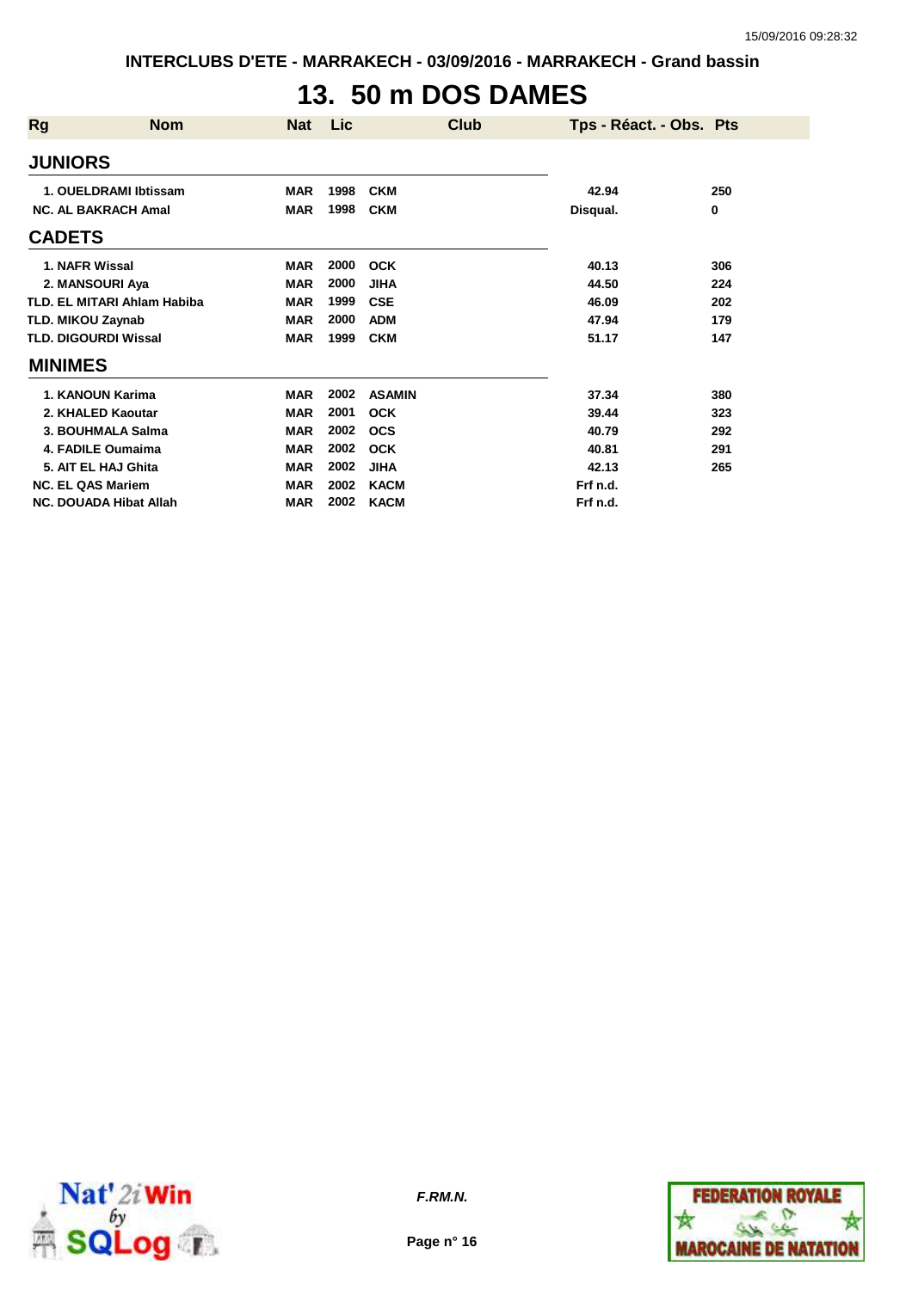**INTERCLUBS D'ETE - MARRAKECH - 03/09/2016 - MARRAKECH - Grand bassin**

# **13. 50 m DOS DAMES**

| Rg                       | <b>Nom</b>                    | <b>Nat</b> | Lic  | <b>Club</b>   | Tps - Réact. - Obs. Pts |     |
|--------------------------|-------------------------------|------------|------|---------------|-------------------------|-----|
| <b>JUNIORS</b>           |                               |            |      |               |                         |     |
|                          | 1. OUELDRAMI Ibtissam         | <b>MAR</b> | 1998 | <b>CKM</b>    | 42.94                   | 250 |
|                          | <b>NC. AL BAKRACH Amal</b>    | <b>MAR</b> | 1998 | <b>CKM</b>    | Disqual.                | 0   |
| <b>CADETS</b>            |                               |            |      |               |                         |     |
| 1. NAFR Wissal           |                               | <b>MAR</b> | 2000 | <b>OCK</b>    | 40.13                   | 306 |
|                          | 2. MANSOURI Aya               | <b>MAR</b> | 2000 | <b>JIHA</b>   | 44.50                   | 224 |
|                          | TLD, EL MITARI Ahlam Habiba   | <b>MAR</b> | 1999 | <b>CSE</b>    | 46.09                   | 202 |
| <b>TLD. MIKOU Zaynab</b> |                               | <b>MAR</b> | 2000 | <b>ADM</b>    | 47.94                   | 179 |
|                          | <b>TLD. DIGOURDI Wissal</b>   | <b>MAR</b> | 1999 | <b>CKM</b>    | 51.17                   | 147 |
| <b>MINIMES</b>           |                               |            |      |               |                         |     |
|                          | 1. KANOUN Karima              | <b>MAR</b> | 2002 | <b>ASAMIN</b> | 37.34                   | 380 |
|                          | 2. KHALED Kaoutar             | <b>MAR</b> | 2001 | <b>OCK</b>    | 39.44                   | 323 |
|                          | 3. BOUHMALA Salma             | <b>MAR</b> | 2002 | <b>OCS</b>    | 40.79                   | 292 |
|                          | 4. FADILE Oumaima             | <b>MAR</b> | 2002 | <b>OCK</b>    | 40.81                   | 291 |
|                          | 5. AIT EL HAJ Ghita           | <b>MAR</b> | 2002 | <b>JIHA</b>   | 42.13                   | 265 |
| <b>NC. EL QAS Mariem</b> |                               | <b>MAR</b> | 2002 | <b>KACM</b>   | Frf n.d.                |     |
|                          | <b>NC. DOUADA Hibat Allah</b> | <b>MAR</b> | 2002 | <b>KACM</b>   | Frf n.d.                |     |



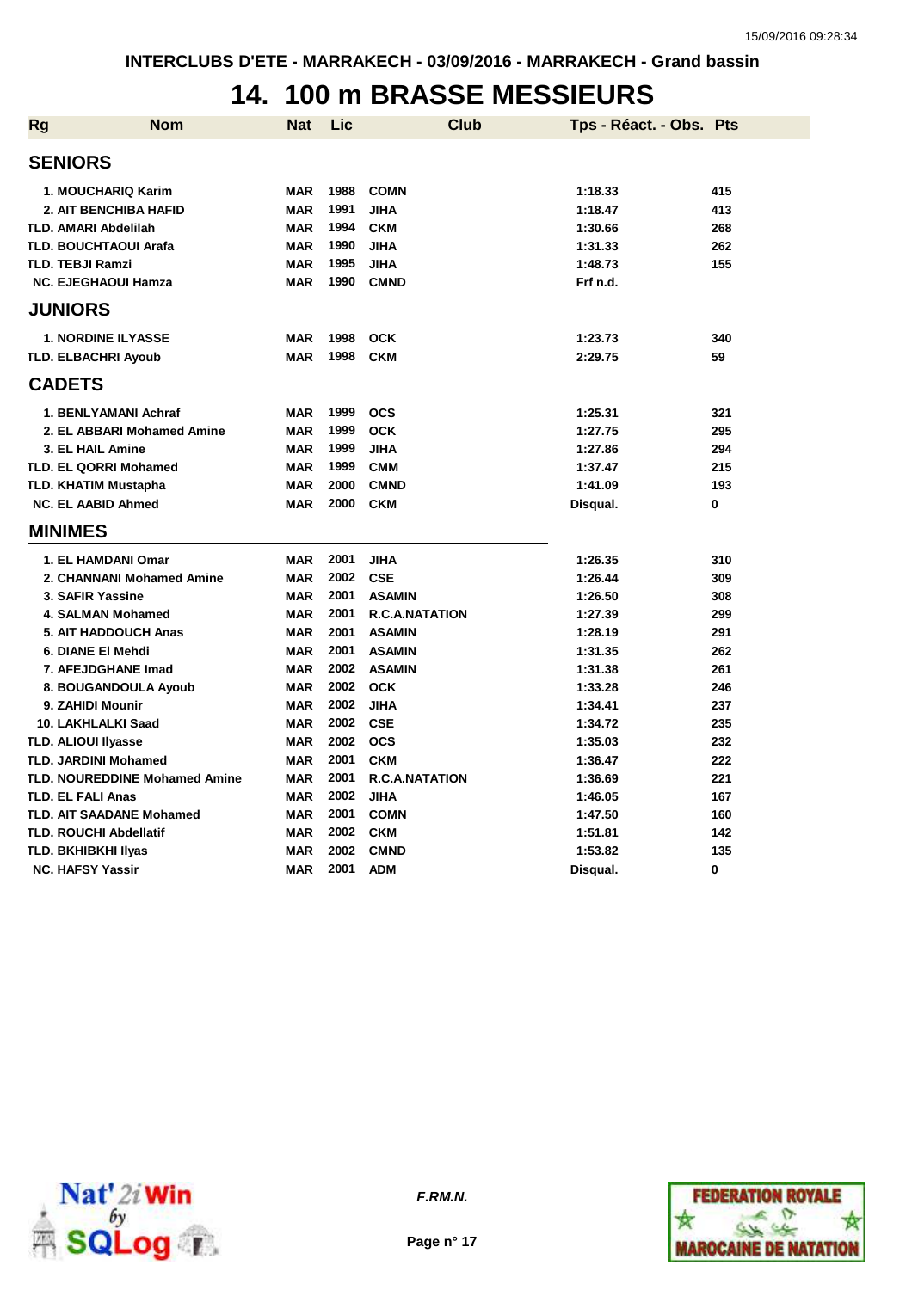#### **14. 100 m BRASSE MESSIEURS**

| <b>Rg</b> | <b>Nom</b>                           | Nat        | Lic  | <b>Club</b>           | Tps - Réact. - Obs. Pts |     |
|-----------|--------------------------------------|------------|------|-----------------------|-------------------------|-----|
|           | <b>SENIORS</b>                       |            |      |                       |                         |     |
|           | 1. MOUCHARIQ Karim                   | <b>MAR</b> | 1988 | <b>COMN</b>           | 1:18.33                 | 415 |
|           | <b>2. AIT BENCHIBA HAFID</b>         | <b>MAR</b> | 1991 | <b>JIHA</b>           | 1:18.47                 | 413 |
|           | <b>TLD. AMARI Abdelilah</b>          | <b>MAR</b> | 1994 | <b>CKM</b>            | 1:30.66                 | 268 |
|           | <b>TLD. BOUCHTAOUI Arafa</b>         | <b>MAR</b> | 1990 | <b>JIHA</b>           | 1:31.33                 | 262 |
|           | <b>TLD. TEBJI Ramzi</b>              | <b>MAR</b> | 1995 | <b>JIHA</b>           | 1:48.73                 | 155 |
|           | <b>NC. EJEGHAOUI Hamza</b>           | <b>MAR</b> | 1990 | <b>CMND</b>           | Frf n.d.                |     |
|           | <b>JUNIORS</b>                       |            |      |                       |                         |     |
|           | <b>1. NORDINE ILYASSE</b>            | <b>MAR</b> | 1998 | <b>OCK</b>            | 1:23.73                 | 340 |
|           | <b>TLD. ELBACHRI Ayoub</b>           | <b>MAR</b> | 1998 | <b>CKM</b>            | 2:29.75                 | 59  |
|           | <b>CADETS</b>                        |            |      |                       |                         |     |
|           | 1. BENLYAMANI Achraf                 | <b>MAR</b> | 1999 | <b>OCS</b>            | 1:25.31                 | 321 |
|           | 2. EL ABBARI Mohamed Amine           | <b>MAR</b> | 1999 | <b>OCK</b>            | 1:27.75                 | 295 |
|           | 3. EL HAIL Amine                     | <b>MAR</b> | 1999 | <b>JIHA</b>           | 1:27.86                 | 294 |
|           | <b>TLD. EL QORRI Mohamed</b>         | <b>MAR</b> | 1999 | <b>CMM</b>            | 1:37.47                 | 215 |
|           | <b>TLD. KHATIM Mustapha</b>          | <b>MAR</b> | 2000 | <b>CMND</b>           | 1:41.09                 | 193 |
|           | <b>NC. EL AABID Ahmed</b>            | <b>MAR</b> | 2000 | <b>CKM</b>            | Disqual.                | 0   |
|           | <b>MINIMES</b>                       |            |      |                       |                         |     |
|           | 1. EL HAMDANI Omar                   | <b>MAR</b> | 2001 | <b>JIHA</b>           | 1:26.35                 | 310 |
|           | 2. CHANNANI Mohamed Amine            | <b>MAR</b> | 2002 | <b>CSE</b>            | 1:26.44                 | 309 |
|           | 3. SAFIR Yassine                     | <b>MAR</b> | 2001 | <b>ASAMIN</b>         | 1:26.50                 | 308 |
|           | <b>4. SALMAN Mohamed</b>             | <b>MAR</b> | 2001 | <b>R.C.A.NATATION</b> | 1:27.39                 | 299 |
|           | <b>5. AIT HADDOUCH Anas</b>          | <b>MAR</b> | 2001 | <b>ASAMIN</b>         | 1:28.19                 | 291 |
|           | 6. DIANE EI Mehdi                    | <b>MAR</b> | 2001 | <b>ASAMIN</b>         | 1:31.35                 | 262 |
|           | 7. AFEJDGHANE Imad                   | <b>MAR</b> | 2002 | <b>ASAMIN</b>         | 1:31.38                 | 261 |
|           | 8. BOUGANDOULA Ayoub                 | <b>MAR</b> | 2002 | <b>OCK</b>            | 1:33.28                 | 246 |
|           | 9. ZAHIDI Mounir                     | <b>MAR</b> | 2002 | <b>JIHA</b>           | 1:34.41                 | 237 |
|           | 10. LAKHLALKI Saad                   | <b>MAR</b> | 2002 | <b>CSE</b>            | 1:34.72                 | 235 |
|           | <b>TLD. ALIOUI Ilyasse</b>           | <b>MAR</b> | 2002 | <b>OCS</b>            | 1:35.03                 | 232 |
|           | <b>TLD. JARDINI Mohamed</b>          | <b>MAR</b> | 2001 | <b>CKM</b>            | 1:36.47                 | 222 |
|           | <b>TLD. NOUREDDINE Mohamed Amine</b> | <b>MAR</b> | 2001 | <b>R.C.A.NATATION</b> | 1:36.69                 | 221 |
|           | <b>TLD. EL FALI Anas</b>             | <b>MAR</b> | 2002 | <b>JIHA</b>           | 1:46.05                 | 167 |
|           | <b>TLD. AIT SAADANE Mohamed</b>      | <b>MAR</b> | 2001 | <b>COMN</b>           | 1:47.50                 | 160 |
|           | <b>TLD. ROUCHI Abdellatif</b>        | <b>MAR</b> | 2002 | <b>CKM</b>            | 1:51.81                 | 142 |
|           | <b>TLD. BKHIBKHI IIyas</b>           | <b>MAR</b> | 2002 | <b>CMND</b>           | 1:53.82                 | 135 |
|           | <b>NC. HAFSY Yassir</b>              | <b>MAR</b> | 2001 | <b>ADM</b>            | Disqual.                | 0   |



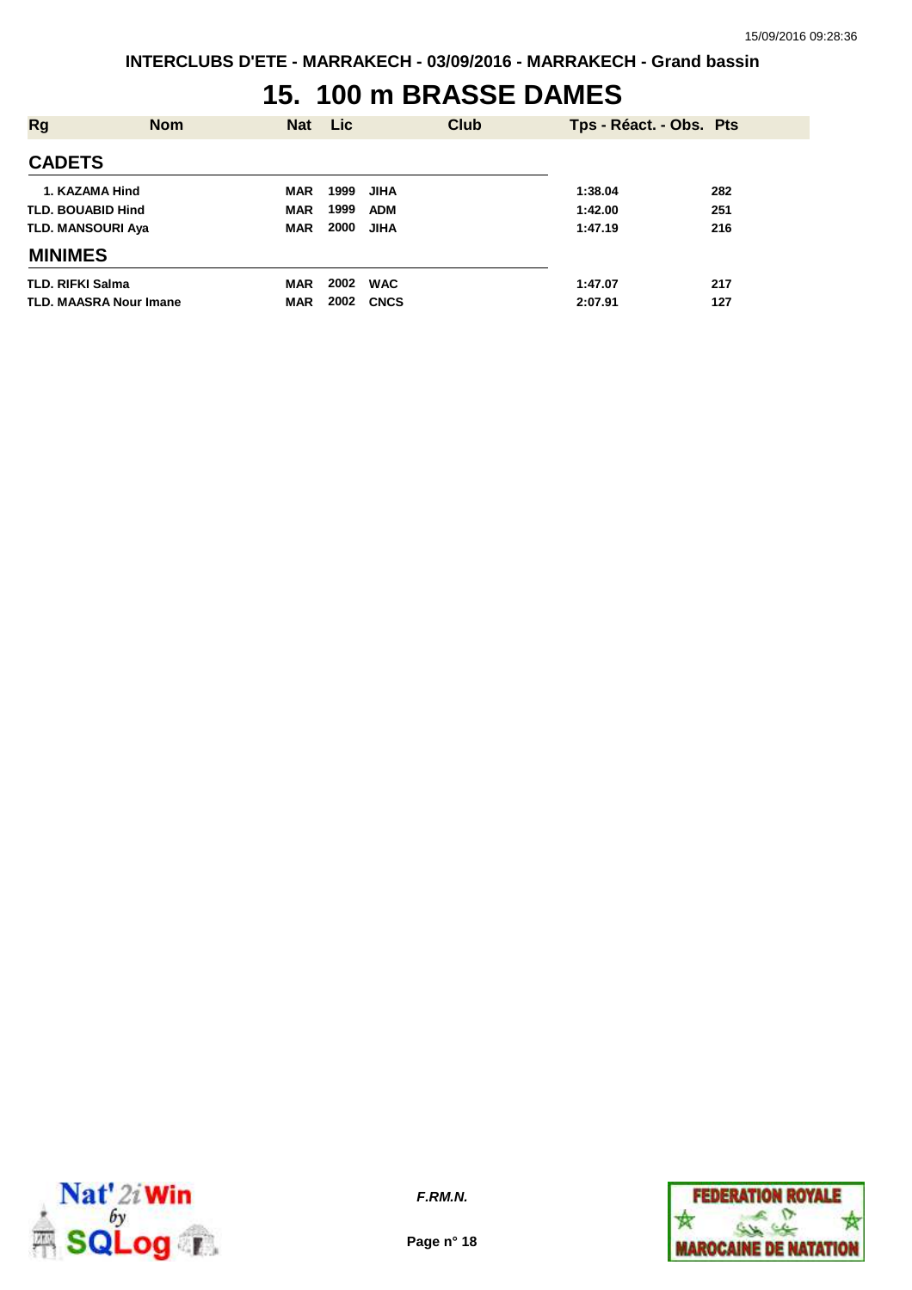## **15. 100 m BRASSE DAMES**

| <b>Rg</b>                     | <b>Nom</b> | <b>Nat</b> | <b>Lic</b> | <b>Club</b> | Tps - Réact. - Obs. Pts |     |
|-------------------------------|------------|------------|------------|-------------|-------------------------|-----|
| <b>CADETS</b>                 |            |            |            |             |                         |     |
| 1. KAZAMA Hind                |            | <b>MAR</b> | 1999       | JIHA        | 1:38.04                 | 282 |
| <b>TLD. BOUABID Hind</b>      |            | <b>MAR</b> | 1999       | ADM         | 1:42.00                 | 251 |
| <b>TLD. MANSOURI Aya</b>      |            | <b>MAR</b> | 2000       | <b>JIHA</b> | 1:47.19                 | 216 |
| <b>MINIMES</b>                |            |            |            |             |                         |     |
| <b>TLD. RIFKI Salma</b>       |            | <b>MAR</b> | 2002       | <b>WAC</b>  | 1:47.07                 | 217 |
| <b>TLD. MAASRA Nour Imane</b> |            | <b>MAR</b> | 2002       | <b>CNCS</b> | 2:07.91                 | 127 |



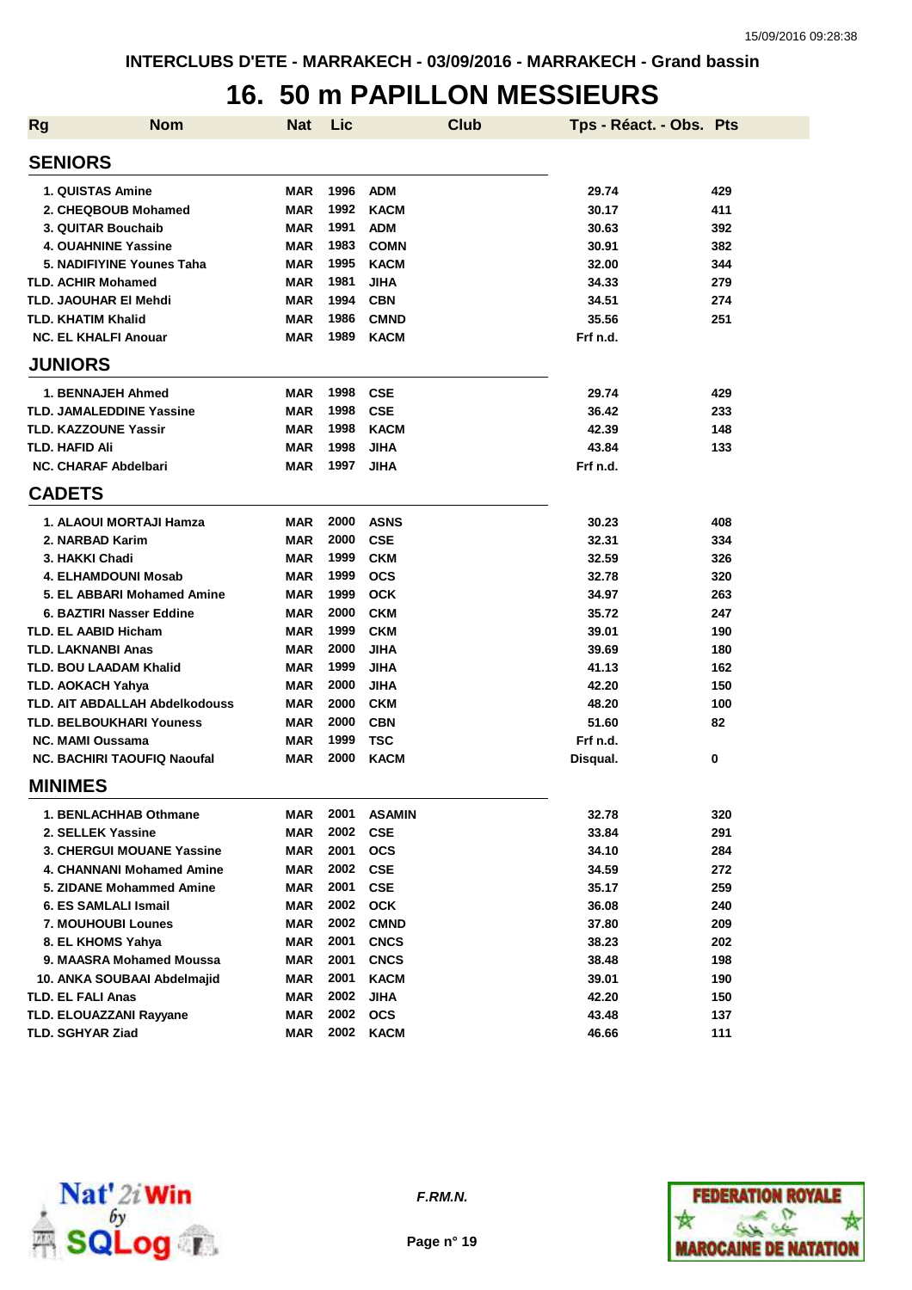### **16. 50 m PAPILLON MESSIEURS**

| <b>Rg</b> | <b>Nom</b>                            | <b>Nat</b> | Lic  | <b>Club</b>   | Tps - Réact. - Obs. Pts |     |
|-----------|---------------------------------------|------------|------|---------------|-------------------------|-----|
|           | <b>SENIORS</b>                        |            |      |               |                         |     |
|           | 1. QUISTAS Amine                      | MAR        | 1996 | <b>ADM</b>    | 29.74                   | 429 |
|           | 2. CHEQBOUB Mohamed                   | <b>MAR</b> | 1992 | <b>KACM</b>   | 30.17                   | 411 |
|           | 3. QUITAR Bouchaib                    | <b>MAR</b> | 1991 | <b>ADM</b>    | 30.63                   | 392 |
|           | <b>4. OUAHNINE Yassine</b>            | <b>MAR</b> | 1983 | <b>COMN</b>   | 30.91                   | 382 |
|           | 5. NADIFIYINE Younes Taha             | <b>MAR</b> | 1995 | <b>KACM</b>   | 32.00                   | 344 |
|           | <b>TLD. ACHIR Mohamed</b>             | <b>MAR</b> | 1981 | <b>JIHA</b>   | 34.33                   | 279 |
|           | TLD. JAOUHAR EI Mehdi                 | <b>MAR</b> | 1994 | <b>CBN</b>    | 34.51                   | 274 |
|           | <b>TLD. KHATIM Khalid</b>             | <b>MAR</b> | 1986 | <b>CMND</b>   | 35.56                   | 251 |
|           | <b>NC. EL KHALFI Anouar</b>           | <b>MAR</b> | 1989 | <b>KACM</b>   | Frf n.d.                |     |
|           | <b>JUNIORS</b>                        |            |      |               |                         |     |
|           | 1. BENNAJEH Ahmed                     | <b>MAR</b> | 1998 | <b>CSE</b>    | 29.74                   | 429 |
|           | TLD. JAMALEDDINE Yassine              | <b>MAR</b> | 1998 | <b>CSE</b>    | 36.42                   | 233 |
|           | <b>TLD. KAZZOUNE Yassir</b>           | <b>MAR</b> | 1998 | <b>KACM</b>   | 42.39                   | 148 |
|           | TLD. HAFID Ali                        | <b>MAR</b> | 1998 | <b>JIHA</b>   | 43.84                   | 133 |
|           | <b>NC. CHARAF Abdelbari</b>           | <b>MAR</b> | 1997 | <b>JIHA</b>   | Frf n.d.                |     |
|           | <b>CADETS</b>                         |            |      |               |                         |     |
|           | 1. ALAOUI MORTAJI Hamza               | MAR        | 2000 | <b>ASNS</b>   | 30.23                   | 408 |
|           | 2. NARBAD Karim                       | <b>MAR</b> | 2000 | <b>CSE</b>    | 32.31                   | 334 |
|           | 3. HAKKI Chadi                        | <b>MAR</b> | 1999 | <b>CKM</b>    | 32.59                   | 326 |
|           | <b>4. ELHAMDOUNI Mosab</b>            | <b>MAR</b> | 1999 | <b>OCS</b>    | 32.78                   | 320 |
|           | 5. EL ABBARI Mohamed Amine            | <b>MAR</b> | 1999 | <b>OCK</b>    | 34.97                   | 263 |
|           | 6. BAZTIRI Nasser Eddine              | <b>MAR</b> | 2000 | <b>CKM</b>    | 35.72                   | 247 |
|           | <b>TLD. EL AABID Hicham</b>           | <b>MAR</b> | 1999 | <b>CKM</b>    | 39.01                   | 190 |
|           | <b>TLD. LAKNANBI Anas</b>             | <b>MAR</b> | 2000 | <b>JIHA</b>   | 39.69                   | 180 |
|           | <b>TLD. BOU LAADAM Khalid</b>         | <b>MAR</b> | 1999 | <b>JIHA</b>   | 41.13                   | 162 |
|           | <b>TLD. AOKACH Yahya</b>              | <b>MAR</b> | 2000 | <b>JIHA</b>   | 42.20                   | 150 |
|           | <b>TLD. AIT ABDALLAH Abdelkodouss</b> | <b>MAR</b> | 2000 | <b>CKM</b>    | 48.20                   | 100 |
|           | <b>TLD. BELBOUKHARI Youness</b>       | MAR        | 2000 | <b>CBN</b>    | 51.60                   | 82  |
|           | <b>NC. MAMI Oussama</b>               | MAR        | 1999 | <b>TSC</b>    | Frf n.d.                |     |
|           | <b>NC. BACHIRI TAOUFIQ Naoufal</b>    | MAR        | 2000 | <b>KACM</b>   | Disqual.                | 0   |
|           | <b>MINIMES</b>                        |            |      |               |                         |     |
|           | 1. BENLACHHAB Othmane                 | MAR        | 2001 | <b>ASAMIN</b> | 32.78                   | 320 |
|           | 2. SELLEK Yassine                     | <b>MAR</b> | 2002 | <b>CSE</b>    | 33.84                   | 291 |
|           | 3. CHERGUI MOUANE Yassine             | <b>MAR</b> | 2001 | <b>OCS</b>    | 34.10                   | 284 |
|           | 4. CHANNANI Mohamed Amine             | MAR        | 2002 | <b>CSE</b>    | 34.59                   | 272 |
|           | 5. ZIDANE Mohammed Amine              | MAR        | 2001 | <b>CSE</b>    | 35.17                   | 259 |
|           | 6. ES SAMLALI Ismail                  | <b>MAR</b> | 2002 | <b>OCK</b>    | 36.08                   | 240 |
|           | 7. MOUHOUBI Lounes                    | <b>MAR</b> | 2002 | <b>CMND</b>   | 37.80                   | 209 |
|           | 8. EL KHOMS Yahya                     | <b>MAR</b> | 2001 | <b>CNCS</b>   | 38.23                   | 202 |
|           | 9. MAASRA Mohamed Moussa              | <b>MAR</b> | 2001 | <b>CNCS</b>   | 38.48                   | 198 |
|           | 10. ANKA SOUBAAI Abdelmajid           | <b>MAR</b> | 2001 | <b>KACM</b>   | 39.01                   | 190 |
|           | <b>TLD. EL FALI Anas</b>              | <b>MAR</b> | 2002 | <b>JIHA</b>   | 42.20                   | 150 |
|           | TLD. ELOUAZZANI Rayyane               | <b>MAR</b> | 2002 | <b>OCS</b>    | 43.48                   | 137 |
|           | TLD. SGHYAR Ziad                      | <b>MAR</b> | 2002 | <b>KACM</b>   | 46.66                   | 111 |



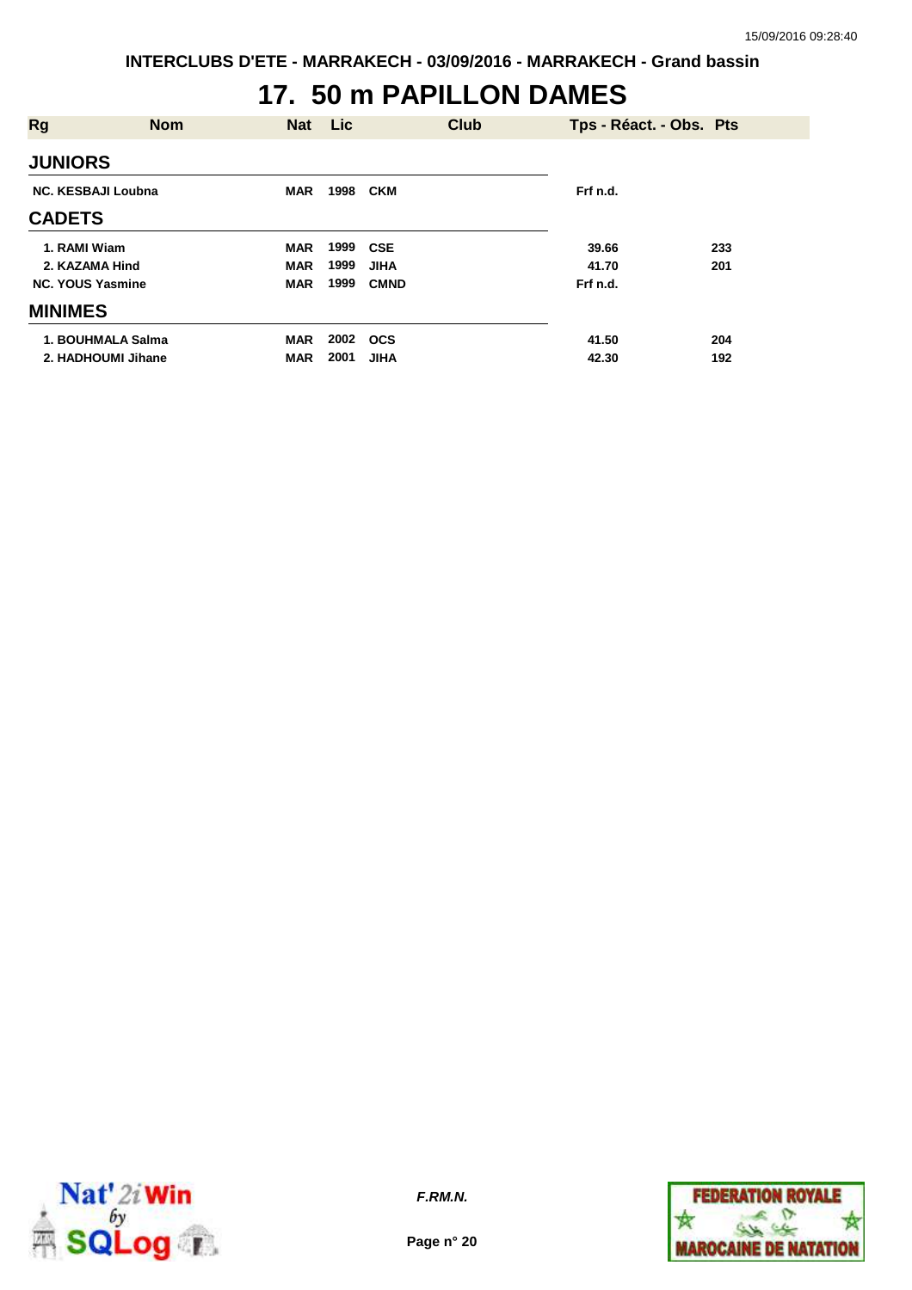## **17. 50 m PAPILLON DAMES**

| <b>Rg</b>                 | <b>Nom</b> | <b>Nat</b> | Lic  | <b>Club</b> |          | Tps - Réact. - Obs. Pts |
|---------------------------|------------|------------|------|-------------|----------|-------------------------|
| <b>JUNIORS</b>            |            |            |      |             |          |                         |
| <b>NC. KESBAJI Loubna</b> |            | <b>MAR</b> | 1998 | CKM         | Frf n.d. |                         |
| <b>CADETS</b>             |            |            |      |             |          |                         |
| 1. RAMI Wiam              |            | <b>MAR</b> | 1999 | CSE         | 39.66    | 233                     |
| 2. KAZAMA Hind            |            | <b>MAR</b> | 1999 | <b>JIHA</b> | 41.70    | 201                     |
| <b>NC. YOUS Yasmine</b>   |            | <b>MAR</b> | 1999 | <b>CMND</b> | Frf n.d. |                         |
| <b>MINIMES</b>            |            |            |      |             |          |                         |
| 1. BOUHMALA Salma         |            | MAR        | 2002 | <b>OCS</b>  | 41.50    | 204                     |
| 2. HADHOUMI Jihane        |            | <b>MAR</b> | 2001 | <b>JIHA</b> | 42.30    | 192                     |